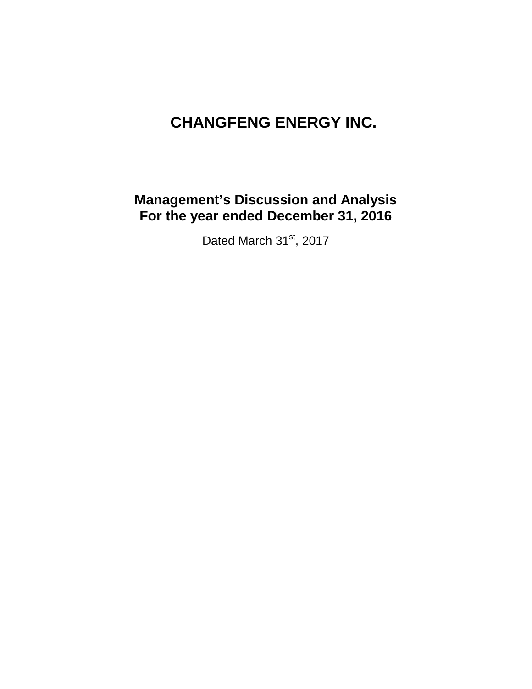# **CHANGFENG ENERGY INC.**

# **Management's Discussion and Analysis For the year ended December 31, 2016**

Dated March 31st, 2017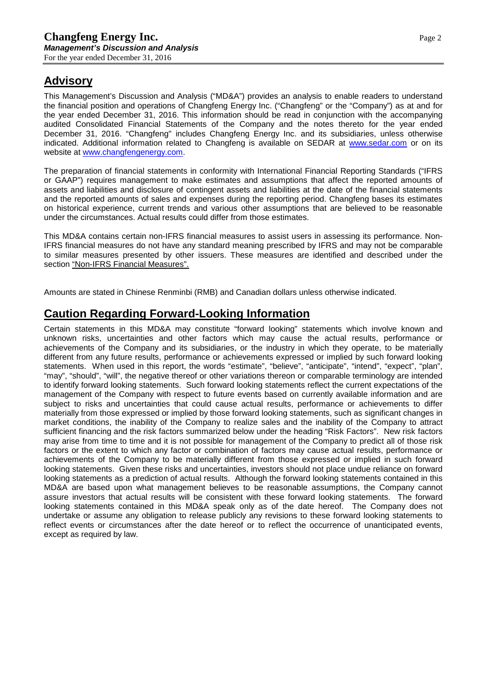# **Advisory**

This Management's Discussion and Analysis ("MD&A") provides an analysis to enable readers to understand the financial position and operations of Changfeng Energy Inc. ("Changfeng" or the "Company") as at and for the year ended December 31, 2016. This information should be read in conjunction with the accompanying audited Consolidated Financial Statements of the Company and the notes thereto for the year ended December 31, 2016. "Changfeng" includes Changfeng Energy Inc. and its subsidiaries, unless otherwise indicated. Additional information related to Changfeng is available on SEDAR at [www.sedar.com](http://www.sedar.com/) or on its website at [www.changfengenergy.com.](http://www.changfengenergy.com/)

The preparation of financial statements in conformity with International Financial Reporting Standards ("IFRS or GAAP") requires management to make estimates and assumptions that affect the reported amounts of assets and liabilities and disclosure of contingent assets and liabilities at the date of the financial statements and the reported amounts of sales and expenses during the reporting period. Changfeng bases its estimates on historical experience, current trends and various other assumptions that are believed to be reasonable under the circumstances. Actual results could differ from those estimates.

This MD&A contains certain non-IFRS financial measures to assist users in assessing its performance. Non-IFRS financial measures do not have any standard meaning prescribed by IFRS and may not be comparable to similar measures presented by other issuers. These measures are identified and described under the section "Non-IFRS Financial Measures".

Amounts are stated in Chinese Renminbi (RMB) and Canadian dollars unless otherwise indicated.

## **Caution Regarding Forward-Looking Information**

Certain statements in this MD&A may constitute "forward looking" statements which involve known and unknown risks, uncertainties and other factors which may cause the actual results, performance or achievements of the Company and its subsidiaries, or the industry in which they operate, to be materially different from any future results, performance or achievements expressed or implied by such forward looking statements. When used in this report, the words "estimate", "believe", "anticipate", "intend", "expect", "plan", "may", "should", "will", the negative thereof or other variations thereon or comparable terminology are intended to identify forward looking statements. Such forward looking statements reflect the current expectations of the management of the Company with respect to future events based on currently available information and are subject to risks and uncertainties that could cause actual results, performance or achievements to differ materially from those expressed or implied by those forward looking statements, such as significant changes in market conditions, the inability of the Company to realize sales and the inability of the Company to attract sufficient financing and the risk factors summarized below under the heading "Risk Factors". New risk factors may arise from time to time and it is not possible for management of the Company to predict all of those risk factors or the extent to which any factor or combination of factors may cause actual results, performance or achievements of the Company to be materially different from those expressed or implied in such forward looking statements. Given these risks and uncertainties, investors should not place undue reliance on forward looking statements as a prediction of actual results. Although the forward looking statements contained in this MD&A are based upon what management believes to be reasonable assumptions, the Company cannot assure investors that actual results will be consistent with these forward looking statements. The forward looking statements contained in this MD&A speak only as of the date hereof. The Company does not undertake or assume any obligation to release publicly any revisions to these forward looking statements to reflect events or circumstances after the date hereof or to reflect the occurrence of unanticipated events, except as required by law.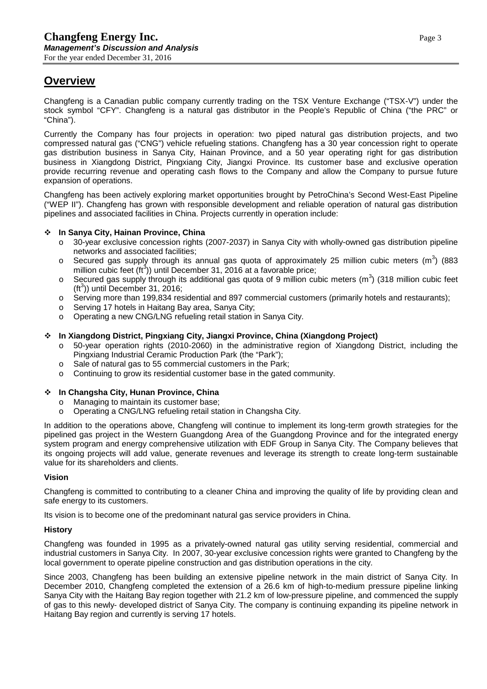# **Overview**

Changfeng is a Canadian public company currently trading on the TSX Venture Exchange ("TSX-V") under the stock symbol "CFY". Changfeng is a natural gas distributor in the People's Republic of China ("the PRC" or "China").

Currently the Company has four projects in operation: two piped natural gas distribution projects, and two compressed natural gas ("CNG") vehicle refueling stations. Changfeng has a 30 year concession right to operate gas distribution business in Sanya City, Hainan Province, and a 50 year operating right for gas distribution business in Xiangdong District, Pingxiang City, Jiangxi Province. Its customer base and exclusive operation provide recurring revenue and operating cash flows to the Company and allow the Company to pursue future expansion of operations.

Changfeng has been actively exploring market opportunities brought by PetroChina's Second West-East Pipeline ("WEP II"). Changfeng has grown with responsible development and reliable operation of natural gas distribution pipelines and associated facilities in China. Projects currently in operation include:

### **In Sanya City, Hainan Province, China**

- o 30-year exclusive concession rights (2007-2037) in Sanya City with wholly-owned gas distribution pipeline networks and associated facilities;
- $\circ$  Secured gas supply through its annual gas quota of approximately 25 million cubic meters (m<sup>3</sup>) (883 million cubic feet  $(ft^3)$ ) until December 31, 2016 at a favorable price;
- $\circ$  Secured gas supply through its additional gas quota of 9 million cubic meters (m<sup>3</sup>) (318 million cubic feet  $(t<sup>3</sup>)$ ) until December 31, 2016;
- o Serving more than 199,834 residential and 897 commercial customers (primarily hotels and restaurants);<br>o Serving 17 hotels in Haitang Bay area. Sanya City:
- Serving 17 hotels in Haitang Bay area, Sanya City;
- Operating a new CNG/LNG refueling retail station in Sanya City.

### **In Xiangdong District, Pingxiang City, Jiangxi Province, China (Xiangdong Project)**

- o 50-year operation rights (2010-2060) in the administrative region of Xiangdong District, including the Pingxiang Industrial Ceramic Production Park (the "Park");
- $\circ$  Sale of natural gas to 55 commercial customers in the Park;<br> $\circ$  Continuing to grow its residential customer base in the gated
- Continuing to grow its residential customer base in the gated community.

### **In Changsha City, Hunan Province, China**

- o Managing to maintain its customer base;
- o Operating a CNG/LNG refueling retail station in Changsha City.

In addition to the operations above, Changfeng will continue to implement its long-term growth strategies for the pipelined gas project in the Western Guangdong Area of the Guangdong Province and for the integrated energy system program and energy comprehensive utilization with EDF Group in Sanya City. The Company believes that its ongoing projects will add value, generate revenues and leverage its strength to create long-term sustainable value for its shareholders and clients.

### **Vision**

Changfeng is committed to contributing to a cleaner China and improving the quality of life by providing clean and safe energy to its customers.

Its vision is to become one of the predominant natural gas service providers in China.

### **History**

Changfeng was founded in 1995 as a privately-owned natural gas utility serving residential, commercial and industrial customers in Sanya City. In 2007, 30-year exclusive concession rights were granted to Changfeng by the local government to operate pipeline construction and gas distribution operations in the city.

Since 2003, Changfeng has been building an extensive pipeline network in the main district of Sanya City. In December 2010, Changfeng completed the extension of a 26.6 km of high-to-medium pressure pipeline linking Sanya City with the Haitang Bay region together with 21.2 km of low-pressure pipeline, and commenced the supply of gas to this newly- developed district of Sanya City. The company is continuing expanding its pipeline network in Haitang Bay region and currently is serving 17 hotels.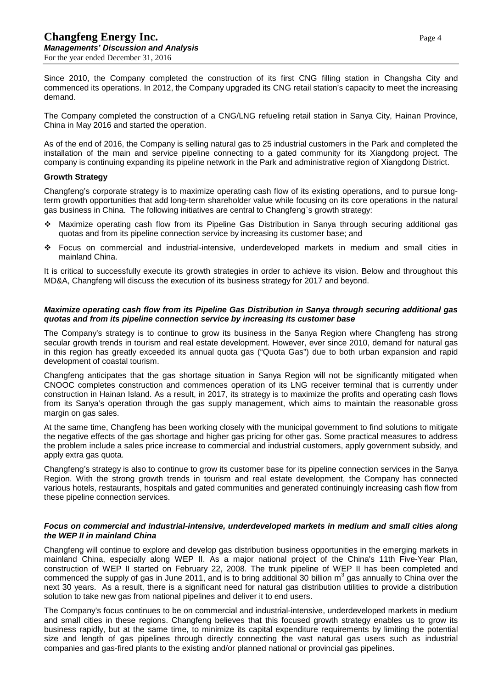Since 2010, the Company completed the construction of its first CNG filling station in Changsha City and commenced its operations. In 2012, the Company upgraded its CNG retail station's capacity to meet the increasing demand.

The Company completed the construction of a CNG/LNG refueling retail station in Sanya City, Hainan Province, China in May 2016 and started the operation.

As of the end of 2016, the Company is selling natural gas to 25 industrial customers in the Park and completed the installation of the main and service pipeline connecting to a gated community for its Xiangdong project. The company is continuing expanding its pipeline network in the Park and administrative region of Xiangdong District.

#### **Growth Strategy**

Changfeng's corporate strategy is to maximize operating cash flow of its existing operations, and to pursue longterm growth opportunities that add long-term shareholder value while focusing on its core operations in the natural gas business in China. The following initiatives are central to Changfeng`s growth strategy:

- Maximize operating cash flow from its Pipeline Gas Distribution in Sanya through securing additional gas quotas and from its pipeline connection service by increasing its customer base; and
- Focus on commercial and industrial-intensive, underdeveloped markets in medium and small cities in mainland China.

It is critical to successfully execute its growth strategies in order to achieve its vision. Below and throughout this MD&A, Changfeng will discuss the execution of its business strategy for 2017 and beyond.

#### *Maximize operating cash flow from its Pipeline Gas Distribution in Sanya through securing additional gas quotas and from its pipeline connection service by increasing its customer base*

The Company's strategy is to continue to grow its business in the Sanya Region where Changfeng has strong secular growth trends in tourism and real estate development. However, ever since 2010, demand for natural gas in this region has greatly exceeded its annual quota gas ("Quota Gas") due to both urban expansion and rapid development of coastal tourism.

Changfeng anticipates that the gas shortage situation in Sanya Region will not be significantly mitigated when CNOOC completes construction and commences operation of its LNG receiver terminal that is currently under construction in Hainan Island. As a result, in 2017, its strategy is to maximize the profits and operating cash flows from its Sanya's operation through the gas supply management, which aims to maintain the reasonable gross margin on gas sales.

At the same time, Changfeng has been working closely with the municipal government to find solutions to mitigate the negative effects of the gas shortage and higher gas pricing for other gas. Some practical measures to address the problem include a sales price increase to commercial and industrial customers, apply government subsidy, and apply extra gas quota.

Changfeng's strategy is also to continue to grow its customer base for its pipeline connection services in the Sanya Region. With the strong growth trends in tourism and real estate development, the Company has connected various hotels, restaurants, hospitals and gated communities and generated continuingly increasing cash flow from these pipeline connection services.

#### *Focus on commercial and industrial-intensive, underdeveloped markets in medium and small cities along the WEP II in mainland China*

Changfeng will continue to explore and develop gas distribution business opportunities in the emerging markets in mainland China, especially along WEP II. As a major national project of the China's 11th Five-Year Plan, construction of WEP II started on February 22, 2008. The trunk pipeline of WEP II has been completed and commenced the supply of gas in June 2011, and is to bring additional 30 billion  $m<sup>3</sup>$  gas annually to China over the next 30 years. As a result, there is a significant need for natural gas distribution utilities to provide a distribution solution to take new gas from national pipelines and deliver it to end users.

The Company's focus continues to be on commercial and industrial-intensive, underdeveloped markets in medium and small cities in these regions. Changfeng believes that this focused growth strategy enables us to grow its business rapidly, but at the same time, to minimize its capital expenditure requirements by limiting the potential size and length of gas pipelines through directly connecting the vast natural gas users such as industrial companies and gas-fired plants to the existing and/or planned national or provincial gas pipelines.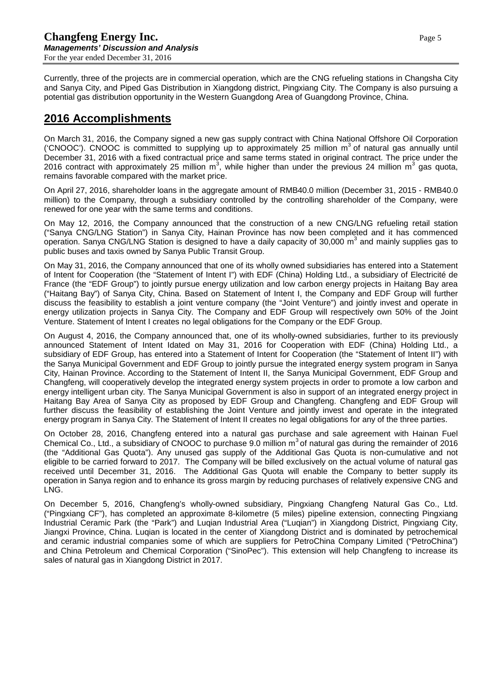Currently, three of the projects are in commercial operation, which are the CNG refueling stations in Changsha City and Sanya City, and Piped Gas Distribution in Xiangdong district, Pingxiang City. The Company is also pursuing a potential gas distribution opportunity in the Western Guangdong Area of Guangdong Province, China.

# **2016 Accomplishments**

On March 31, 2016, the Company signed a new gas supply contract with China National Offshore Oil Corporation ('CNOOC'). CNOOC is committed to supplying up to approximately 25 million  $m<sup>3</sup>$  of natural gas annually until December 31, 2016 with a fixed contractual price and same terms stated in original contract. The price under the 2016 contract with approximately 25 million m<sup>3</sup>, while higher than under the previous 24 million m<sup>3</sup> gas quota, remains favorable compared with the market price.

On April 27, 2016, shareholder loans in the aggregate amount of RMB40.0 million (December 31, 2015 - RMB40.0 million) to the Company, through a subsidiary controlled by the controlling shareholder of the Company, were renewed for one year with the same terms and conditions.

On May 12, 2016, the Company announced that the construction of a new CNG/LNG refueling retail station ("Sanya CNG/LNG Station") in Sanya City, Hainan Province has now been completed and it has commenced operation. Sanya CNG/LNG Station is designed to have a daily capacity of 30,000 m<sup>3</sup> and mainly supplies gas to public buses and taxis owned by Sanya Public Transit Group.

On May 31, 2016, the Company announced that one of its wholly owned subsidiaries has entered into a Statement of Intent for Cooperation (the "Statement of Intent I") with EDF (China) Holding Ltd., a subsidiary of Electricité de France (the "EDF Group") to jointly pursue energy utilization and low carbon energy projects in Haitang Bay area ("Haitang Bay") of Sanya City, China. Based on Statement of Intent I, the Company and EDF Group will further discuss the feasibility to establish a joint venture company (the "Joint Venture") and jointly invest and operate in energy utilization projects in Sanya City. The Company and EDF Group will respectively own 50% of the Joint Venture. Statement of Intent I creates no legal obligations for the Company or the EDF Group.

On August 4, 2016, the Company announced that, one of its wholly-owned subsidiaries, further to its previously announced Statement of Intent Idated on May 31, 2016 for Cooperation with EDF (China) Holding Ltd., a subsidiary of EDF Group, has entered into a Statement of Intent for Cooperation (the "Statement of Intent II") with the Sanya Municipal Government and EDF Group to jointly pursue the integrated energy system program in Sanya City, Hainan Province. According to the Statement of Intent II, the Sanya Municipal Government, EDF Group and Changfeng, will cooperatively develop the integrated energy system projects in order to promote a low carbon and energy intelligent urban city. The Sanya Municipal Government is also in support of an integrated energy project in Haitang Bay Area of Sanya City as proposed by EDF Group and Changfeng. Changfeng and EDF Group will further discuss the feasibility of establishing the Joint Venture and jointly invest and operate in the integrated energy program in Sanya City. The Statement of Intent II creates no legal obligations for any of the three parties.

On October 28, 2016, Changfeng entered into a natural gas purchase and sale agreement with Hainan Fuel Chemical Co., Ltd., a subsidiary of CNOOC to purchase 9.0 million  $m<sup>3</sup>$  of natural gas during the remainder of 2016 (the "Additional Gas Quota"). Any unused gas supply of the Additional Gas Quota is non-cumulative and not eligible to be carried forward to 2017. The Company will be billed exclusively on the actual volume of natural gas received until December 31, 2016. The Additional Gas Quota will enable the Company to better supply its operation in Sanya region and to enhance its gross margin by reducing purchases of relatively expensive CNG and LNG.

On December 5, 2016, Changfeng's wholly-owned subsidiary, Pingxiang Changfeng Natural Gas Co., Ltd. ("Pingxiang CF"), has completed an approximate 8-kilometre (5 miles) pipeline extension, connecting Pingxiang Industrial Ceramic Park (the "Park") and Luqian Industrial Area ("Luqian") in Xiangdong District, Pingxiang City, Jiangxi Province, China. Luqian is located in the center of Xiangdong District and is dominated by petrochemical and ceramic industrial companies some of which are suppliers for PetroChina Company Limited ("PetroChina") and China Petroleum and Chemical Corporation ("SinoPec"). This extension will help Changfeng to increase its sales of natural gas in Xiangdong District in 2017.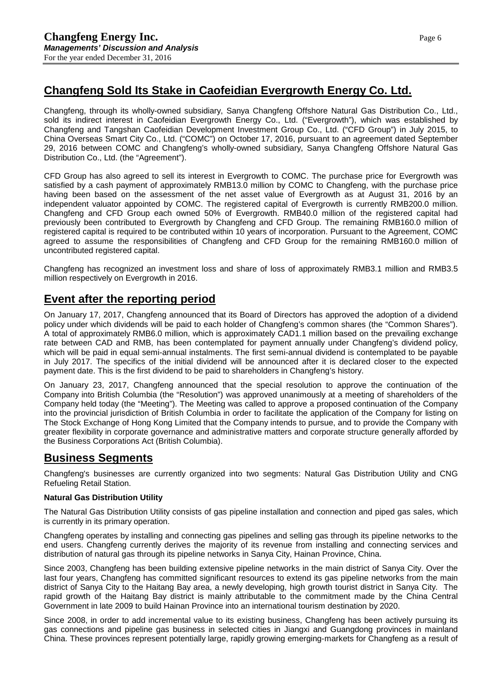# **Changfeng Sold Its Stake in Caofeidian Evergrowth Energy Co. Ltd.**

Changfeng, through its wholly-owned subsidiary, Sanya Changfeng Offshore Natural Gas Distribution Co., Ltd., sold its indirect interest in Caofeidian Evergrowth Energy Co., Ltd. ("Evergrowth"), which was established by Changfeng and Tangshan Caofeidian Development Investment Group Co., Ltd. ("CFD Group") in July 2015, to China Overseas Smart City Co., Ltd. ("COMC") on October 17, 2016, pursuant to an agreement dated September 29, 2016 between COMC and Changfeng's wholly-owned subsidiary, Sanya Changfeng Offshore Natural Gas Distribution Co., Ltd. (the "Agreement").

CFD Group has also agreed to sell its interest in Evergrowth to COMC. The purchase price for Evergrowth was satisfied by a cash payment of approximately RMB13.0 million by COMC to Changfeng, with the purchase price having been based on the assessment of the net asset value of Evergrowth as at August 31, 2016 by an independent valuator appointed by COMC. The registered capital of Evergrowth is currently RMB200.0 million. Changfeng and CFD Group each owned 50% of Evergrowth. RMB40.0 million of the registered capital had previously been contributed to Evergrowth by Changfeng and CFD Group. The remaining RMB160.0 million of registered capital is required to be contributed within 10 years of incorporation. Pursuant to the Agreement, COMC agreed to assume the responsibilities of Changfeng and CFD Group for the remaining RMB160.0 million of uncontributed registered capital.

Changfeng has recognized an investment loss and share of loss of approximately RMB3.1 million and RMB3.5 million respectively on Evergrowth in 2016.

# **Event after the reporting period**

On January 17, 2017, Changfeng announced that its Board of Directors has approved the adoption of a dividend policy under which dividends will be paid to each holder of Changfeng's common shares (the "Common Shares"). A total of approximately RMB6.0 million, which is approximately CAD1.1 million based on the prevailing exchange rate between CAD and RMB, has been contemplated for payment annually under Changfeng's dividend policy, which will be paid in equal semi-annual instalments. The first semi-annual dividend is contemplated to be payable in July 2017. The specifics of the initial dividend will be announced after it is declared closer to the expected payment date. This is the first dividend to be paid to shareholders in Changfeng's history.

On January 23, 2017, Changfeng announced that the special resolution to approve the continuation of the Company into British Columbia (the "Resolution") was approved unanimously at a meeting of shareholders of the Company held today (the "Meeting"). The Meeting was called to approve a proposed continuation of the Company into the provincial jurisdiction of British Columbia in order to facilitate the application of the Company for listing on The Stock Exchange of Hong Kong Limited that the Company intends to pursue, and to provide the Company with greater flexibility in corporate governance and administrative matters and corporate structure generally afforded by the Business Corporations Act (British Columbia).

### **Business Segments**

Changfeng's businesses are currently organized into two segments: Natural Gas Distribution Utility and CNG Refueling Retail Station.

### **Natural Gas Distribution Utility**

The Natural Gas Distribution Utility consists of gas pipeline installation and connection and piped gas sales, which is currently in its primary operation.

Changfeng operates by installing and connecting gas pipelines and selling gas through its pipeline networks to the end users. Changfeng currently derives the majority of its revenue from installing and connecting services and distribution of natural gas through its pipeline networks in Sanya City, Hainan Province, China.

Since 2003, Changfeng has been building extensive pipeline networks in the main district of Sanya City. Over the last four years, Changfeng has committed significant resources to extend its gas pipeline networks from the main district of Sanya City to the Haitang Bay area, a newly developing, high growth tourist district in Sanya City. The rapid growth of the Haitang Bay district is mainly attributable to the commitment made by the China Central Government in late 2009 to build Hainan Province into an international tourism destination by 2020.

Since 2008, in order to add incremental value to its existing business, Changfeng has been actively pursuing its gas connections and pipeline gas business in selected cities in Jiangxi and Guangdong provinces in mainland China. These provinces represent potentially large, rapidly growing emerging-markets for Changfeng as a result of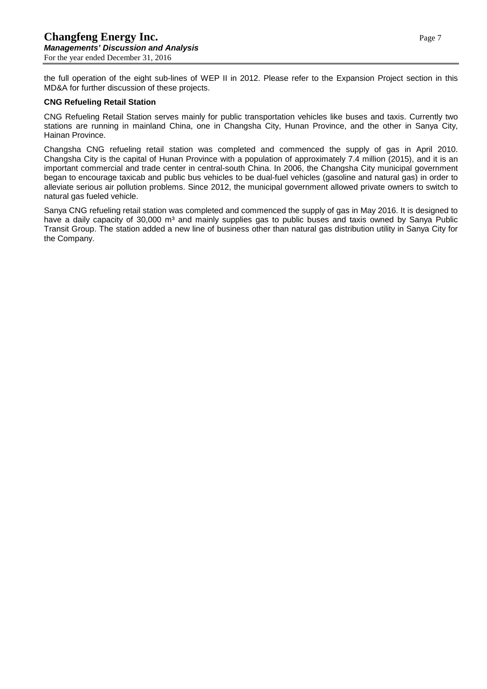the full operation of the eight sub-lines of WEP II in 2012. Please refer to the Expansion Project section in this MD&A for further discussion of these projects.

#### **CNG Refueling Retail Station**

CNG Refueling Retail Station serves mainly for public transportation vehicles like buses and taxis. Currently two stations are running in mainland China, one in Changsha City, [Hunan Province,](http://www.maps-of-china.net/p_hunan_map.html) and the other in Sanya City, Hainan Province.

Changsha CNG refueling retail station was completed and commenced the supply of gas in April 2010. Changsha City is the capital of [Hunan Province](http://www.maps-of-china.net/p_hunan_map.html) with a population of approximately 7.4 million (2015), and it is an important commercial and trade center in central-south China. In 2006, the Changsha City municipal government began to encourage taxicab and public bus vehicles to be dual-fuel vehicles (gasoline and natural gas) in order to alleviate serious air pollution problems. Since 2012, the municipal government allowed private owners to switch to natural gas fueled vehicle.

Sanya CNG refueling retail station was completed and commenced the supply of gas in May 2016. It is designed to have a daily capacity of 30,000 m<sup>3</sup> and mainly supplies gas to public buses and taxis owned by Sanya Public Transit Group. The station added a new line of business other than natural gas distribution utility in Sanya City for the Company.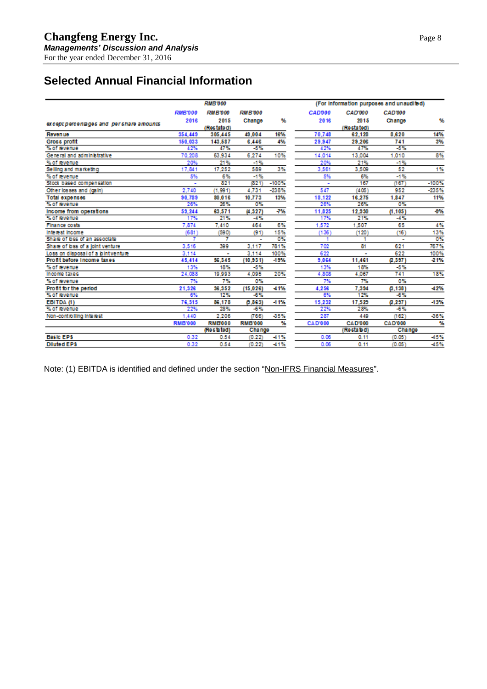# **Selected Annual Financial Information**

| CAD000<br>CAD'000<br><b>RMB'000</b><br><b>RMB'000</b><br><b>RMB'000</b><br>CAD'000<br>2015<br>Y.<br>2016<br>2015<br>2016<br>Change<br>Change<br>except percentages and pershare amounts<br>(Restate d)<br>(Restated)<br>70.748<br>354.449<br>305,445<br>49,004<br>16%<br>62,128<br>8,620<br>Reven ue<br>4%<br>150,033<br>143,587<br>6,446<br>29,947<br>29,206<br>741<br>Gross profit<br>47%<br>-5%<br>-5%<br>47%<br>42%<br>42%<br>% of revenue<br>70.208<br>63.934<br>6,274<br>10%<br>14,014<br>13,004<br>1.010<br>General and administrative<br>20%<br>21%<br>$-1%$<br>20%<br>21%<br>$-1\%$<br>% of revenue<br>3%<br>17,841<br>17,252<br>589<br>3,561<br>3.509<br>52<br>Selling and marketing<br>5%<br>6%<br>$-1%$<br>5%<br>6%<br>$-1%$<br>% of revenue<br>821<br>621<br>$-100%$<br>167<br>Stock based compensation<br>(167)<br>÷<br>2,740<br>(1.991)<br>4.731<br>$-238%$<br>547<br>(405)<br>952<br>Other losses and (gain) | (For information purposes and unaudited) |
|------------------------------------------------------------------------------------------------------------------------------------------------------------------------------------------------------------------------------------------------------------------------------------------------------------------------------------------------------------------------------------------------------------------------------------------------------------------------------------------------------------------------------------------------------------------------------------------------------------------------------------------------------------------------------------------------------------------------------------------------------------------------------------------------------------------------------------------------------------------------------------------------------------------------------|------------------------------------------|
|                                                                                                                                                                                                                                                                                                                                                                                                                                                                                                                                                                                                                                                                                                                                                                                                                                                                                                                              |                                          |
|                                                                                                                                                                                                                                                                                                                                                                                                                                                                                                                                                                                                                                                                                                                                                                                                                                                                                                                              | ₩                                        |
|                                                                                                                                                                                                                                                                                                                                                                                                                                                                                                                                                                                                                                                                                                                                                                                                                                                                                                                              |                                          |
|                                                                                                                                                                                                                                                                                                                                                                                                                                                                                                                                                                                                                                                                                                                                                                                                                                                                                                                              | 14%                                      |
|                                                                                                                                                                                                                                                                                                                                                                                                                                                                                                                                                                                                                                                                                                                                                                                                                                                                                                                              | 3%                                       |
|                                                                                                                                                                                                                                                                                                                                                                                                                                                                                                                                                                                                                                                                                                                                                                                                                                                                                                                              |                                          |
|                                                                                                                                                                                                                                                                                                                                                                                                                                                                                                                                                                                                                                                                                                                                                                                                                                                                                                                              | 8%                                       |
|                                                                                                                                                                                                                                                                                                                                                                                                                                                                                                                                                                                                                                                                                                                                                                                                                                                                                                                              |                                          |
|                                                                                                                                                                                                                                                                                                                                                                                                                                                                                                                                                                                                                                                                                                                                                                                                                                                                                                                              | 1%                                       |
|                                                                                                                                                                                                                                                                                                                                                                                                                                                                                                                                                                                                                                                                                                                                                                                                                                                                                                                              |                                          |
|                                                                                                                                                                                                                                                                                                                                                                                                                                                                                                                                                                                                                                                                                                                                                                                                                                                                                                                              | $-100%$                                  |
|                                                                                                                                                                                                                                                                                                                                                                                                                                                                                                                                                                                                                                                                                                                                                                                                                                                                                                                              | $-235%$                                  |
| 90,789<br>10,773<br>18,122<br>16,275<br>80,016<br>$13\%$<br>1.847<br>Total expenses                                                                                                                                                                                                                                                                                                                                                                                                                                                                                                                                                                                                                                                                                                                                                                                                                                          | 11%                                      |
| 26%<br>% of revenue<br>26%<br>26%<br>0%<br>26%<br>0%                                                                                                                                                                                                                                                                                                                                                                                                                                                                                                                                                                                                                                                                                                                                                                                                                                                                         |                                          |
| Income from operations<br>59,244<br>63,571<br>(4,327)<br>-7%<br>11,825<br>12,930<br>(1, 105)                                                                                                                                                                                                                                                                                                                                                                                                                                                                                                                                                                                                                                                                                                                                                                                                                                 | $-0.7$                                   |
| 21%<br>17%<br>21%<br>17%<br>$-4%$<br>% of revenue<br>$-4%$                                                                                                                                                                                                                                                                                                                                                                                                                                                                                                                                                                                                                                                                                                                                                                                                                                                                   |                                          |
| 7.874<br>7.410<br>464<br>6%<br>1,572<br>1,507<br>65<br>Finance costs                                                                                                                                                                                                                                                                                                                                                                                                                                                                                                                                                                                                                                                                                                                                                                                                                                                         | 4%                                       |
| 15%<br>Interest Income<br>(681)<br>(590)<br>(91)<br>(136)<br>(120)<br>(16)                                                                                                                                                                                                                                                                                                                                                                                                                                                                                                                                                                                                                                                                                                                                                                                                                                                   | 13%                                      |
| 0%<br>Share of bas of an associate<br>1<br>٠                                                                                                                                                                                                                                                                                                                                                                                                                                                                                                                                                                                                                                                                                                                                                                                                                                                                                 | 0%                                       |
| 781%<br>81<br>Share of bss of a joint venture<br>3.516<br>399<br>3.117<br>702<br>621                                                                                                                                                                                                                                                                                                                                                                                                                                                                                                                                                                                                                                                                                                                                                                                                                                         | 767%                                     |
| 622<br>100%<br>3.114<br>3.114<br>622<br>Loss on disposal of a bintventure<br>٠<br>٠                                                                                                                                                                                                                                                                                                                                                                                                                                                                                                                                                                                                                                                                                                                                                                                                                                          | 100%                                     |
| Profit before Income taxes<br>56.345<br>(2, 397)<br>45,414<br>(10.931)<br>$-19%$<br>9,064<br>11,461                                                                                                                                                                                                                                                                                                                                                                                                                                                                                                                                                                                                                                                                                                                                                                                                                          | $-21%$                                   |
| 18%<br>13%<br>18%<br>$-5%$<br>13%<br>-5%<br>% of revenue                                                                                                                                                                                                                                                                                                                                                                                                                                                                                                                                                                                                                                                                                                                                                                                                                                                                     |                                          |
| 4,095<br>20%<br>4.067<br>741<br>24.088<br>19,993<br>4.808<br>Income taxes                                                                                                                                                                                                                                                                                                                                                                                                                                                                                                                                                                                                                                                                                                                                                                                                                                                    | 18%                                      |
| 7%<br>7%<br>7%<br>7%<br>0%<br>0%<br>% of revenue                                                                                                                                                                                                                                                                                                                                                                                                                                                                                                                                                                                                                                                                                                                                                                                                                                                                             |                                          |
| 21,326<br>36,352<br>4,256<br>7,394<br>Profit for the period<br>(15, 026)<br>-41%<br>(3.138)                                                                                                                                                                                                                                                                                                                                                                                                                                                                                                                                                                                                                                                                                                                                                                                                                                  | $-42%$                                   |
| 12%<br>6%<br>12%<br>-6%<br>-6%<br>% of revenue<br>6%                                                                                                                                                                                                                                                                                                                                                                                                                                                                                                                                                                                                                                                                                                                                                                                                                                                                         |                                          |
| 76,315<br>86,178<br>(9, 863)<br>15,232<br>17,529<br>(2.297)<br>$-11%$<br>EBITDA (1)                                                                                                                                                                                                                                                                                                                                                                                                                                                                                                                                                                                                                                                                                                                                                                                                                                          | $-13%$                                   |
| 28%<br>22%<br>28%<br>$-6%$<br>22%<br>$-6%$<br>% of revenue                                                                                                                                                                                                                                                                                                                                                                                                                                                                                                                                                                                                                                                                                                                                                                                                                                                                   |                                          |
| 2.206<br>-35%<br>1,440<br>(766)<br>287<br>(162)<br>449<br>Non-controlling interest                                                                                                                                                                                                                                                                                                                                                                                                                                                                                                                                                                                                                                                                                                                                                                                                                                           | $-36%$                                   |
| %<br><b>RMB'000</b><br><b>RMB000</b><br><b>RMB'000</b><br><b>CAD'000</b><br><b>CAD'000</b><br><b>CAD'000</b>                                                                                                                                                                                                                                                                                                                                                                                                                                                                                                                                                                                                                                                                                                                                                                                                                 | %                                        |
| (Restated)<br>(Restated)<br>Change<br>Change                                                                                                                                                                                                                                                                                                                                                                                                                                                                                                                                                                                                                                                                                                                                                                                                                                                                                 |                                          |
| <b>Basic EPS</b><br>0.32<br>0.54<br>$-41%$<br>0.06<br>0.11<br>(0.22)<br>(0.05)                                                                                                                                                                                                                                                                                                                                                                                                                                                                                                                                                                                                                                                                                                                                                                                                                                               |                                          |
| 0.06<br><b>Diluted EPS</b><br>0.32<br>0.54<br>(0.22)<br>$-41%$<br>0.11<br>(0.05)                                                                                                                                                                                                                                                                                                                                                                                                                                                                                                                                                                                                                                                                                                                                                                                                                                             | -45%<br>45%                              |

Note: (1) EBITDA is identified and defined under the section "Non-IFRS Financial Measures".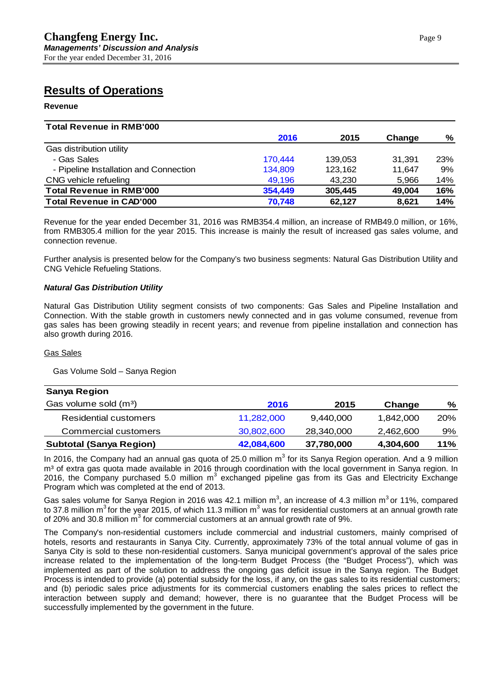# **Results of Operations**

#### **Revenue**

| <b>Total Revenue in RMB'000</b>        |         |         |        |            |
|----------------------------------------|---------|---------|--------|------------|
|                                        | 2016    | 2015    | Change | %          |
| Gas distribution utility               |         |         |        |            |
| - Gas Sales                            | 170,444 | 139,053 | 31.391 | <b>23%</b> |
| - Pipeline Installation and Connection | 134,809 | 123,162 | 11.647 | 9%         |
| CNG vehicle refueling                  | 49,196  | 43,230  | 5,966  | 14%        |
| <b>Total Revenue in RMB'000</b>        | 354,449 | 305,445 | 49.004 | 16%        |
| <b>Total Revenue in CAD'000</b>        | 70,748  | 62,127  | 8.621  | 14%        |

Revenue for the year ended December 31, 2016 was RMB354.4 million, an increase of RMB49.0 million, or 16%, from RMB305.4 million for the year 2015. This increase is mainly the result of increased gas sales volume, and connection revenue.

Further analysis is presented below for the Company's two business segments: Natural Gas Distribution Utility and CNG Vehicle Refueling Stations.

#### *Natural Gas Distribution Utility*

Natural Gas Distribution Utility segment consists of two components: Gas Sales and Pipeline Installation and Connection. With the stable growth in customers newly connected and in gas volume consumed, revenue from gas sales has been growing steadily in recent years; and revenue from pipeline installation and connection has also growth during 2016.

#### Gas Sales

Gas Volume Sold – Sanya Region

| <b>Sanya Region</b>               |            |            |           |     |
|-----------------------------------|------------|------------|-----------|-----|
| Gas volume sold (m <sup>3</sup> ) | 2016       | 2015       | Change    | %   |
| <b>Residential customers</b>      | 11,282,000 | 9,440,000  | 1,842,000 | 20% |
| Commercial customers              | 30,802,600 | 28,340,000 | 2,462,600 | 9%  |
| <b>Subtotal (Sanya Region)</b>    | 42,084,600 | 37,780,000 | 4,304,600 | 11% |

In 2016, the Company had an annual gas quota of 25.0 million  $m<sup>3</sup>$  for its Sanya Region operation. And a 9 million m<sup>3</sup> of extra gas quota made available in 2016 through coordination with the local government in Sanya region. In 2016, the Company purchased 5.0 million  $m<sup>3</sup>$  exchanged pipeline gas from its Gas and Electricity Exchange Program which was completed at the end of 2013.

Gas sales volume for Sanya Region in 2016 was 42.1 million m<sup>3</sup>, an increase of 4.3 million m<sup>3</sup> or 11%, compared to 37.8 million m<sup>3</sup> for the year 2015, of which 11.3 million m<sup>3</sup> was for residential customers at an annual growth rate of 20% and 30.8 million  $m<sup>3</sup>$  for commercial customers at an annual growth rate of 9%.

The Company's non-residential customers include commercial and industrial customers, mainly comprised of hotels, resorts and restaurants in Sanya City. Currently, approximately 73% of the total annual volume of gas in Sanya City is sold to these non-residential customers. Sanya municipal government's approval of the sales price increase related to the implementation of the long-term Budget Process (the "Budget Process"), which was implemented as part of the solution to address the ongoing gas deficit issue in the Sanya region. The Budget Process is intended to provide (a) potential subsidy for the loss, if any, on the gas sales to its residential customers; and (b) periodic sales price adjustments for its commercial customers enabling the sales prices to reflect the interaction between supply and demand; however, there is no guarantee that the Budget Process will be successfully implemented by the government in the future.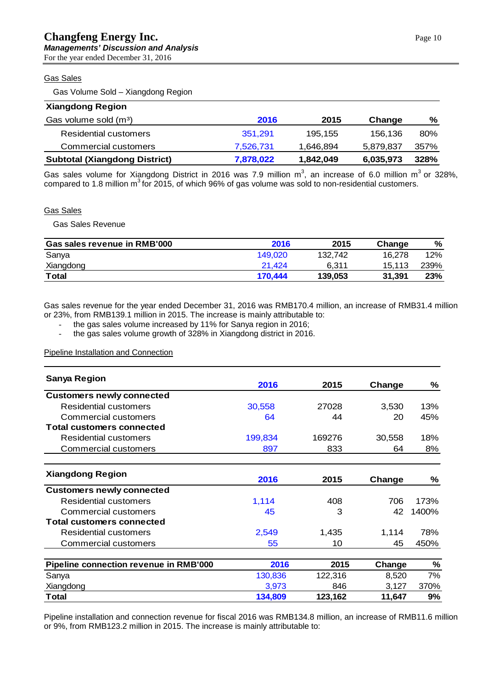#### Gas Sales

Gas Volume Sold – Xiangdong Region

| <b>Xiangdong Region</b>              |           |           |           |      |
|--------------------------------------|-----------|-----------|-----------|------|
| Gas volume sold (m <sup>3</sup> )    | 2016      | 2015      | Change    | %    |
| Residential customers                | 351,291   | 195,155   | 156,136   | 80%  |
| Commercial customers                 | 7,526,731 | 1,646,894 | 5.879.837 | 357% |
| <b>Subtotal (Xiangdong District)</b> | 7,878,022 | 1,842,049 | 6,035,973 | 328% |

Gas sales volume for Xiangdong District in 2016 was 7.9 million m<sup>3</sup>, an increase of 6.0 million m<sup>3</sup> or 328%, compared to 1.8 million  $m^3$  for 2015, of which 96% of gas volume was sold to non-residential customers.

#### Gas Sales

Gas Sales Revenue

| Gas sales revenue in RMB'000 | 2016    | 2015    | Change | %    |
|------------------------------|---------|---------|--------|------|
| Sanya                        | 149.020 | 132.742 | 16.278 | 12%  |
| Xiangdong                    | 21.424  | 6.311   | 15.113 | 239% |
| <b>Total</b>                 | 170.444 | 139,053 | 31.391 | 23%  |

Gas sales revenue for the year ended December 31, 2016 was RMB170.4 million, an increase of RMB31.4 million or 23%, from RMB139.1 million in 2015. The increase is mainly attributable to:

- the gas sales volume increased by 11% for Sanya region in 2016;<br>- the gas sales volume growth of 328% in Xiangdong district in 2016

the gas sales volume growth of 328% in Xiangdong district in 2016.

Pipeline Installation and Connection

| <b>Sanya Region</b>                    |         |         |        |               |
|----------------------------------------|---------|---------|--------|---------------|
|                                        | 2016    | 2015    | Change | ℅             |
| <b>Customers newly connected</b>       |         |         |        |               |
| <b>Residential customers</b>           | 30,558  | 27028   | 3,530  | 13%           |
| Commercial customers                   | 64      | 44      | 20     | 45%           |
| <b>Total customers connected</b>       |         |         |        |               |
| Residential customers                  | 199,834 | 169276  | 30,558 | 18%           |
| <b>Commercial customers</b>            | 897     | 833     | 64     | 8%            |
|                                        |         |         |        |               |
| <b>Xiangdong Region</b>                | 2016    | 2015    | Change | ℅             |
| <b>Customers newly connected</b>       |         |         |        |               |
| <b>Residential customers</b>           | 1,114   | 408     | 706    | 173%          |
| <b>Commercial customers</b>            | 45      | 3       | 42     | 1400%         |
| <b>Total customers connected</b>       |         |         |        |               |
| Residential customers                  | 2,549   | 1,435   | 1,114  | 78%           |
| <b>Commercial customers</b>            | 55      | 10      | 45     | 450%          |
| Pipeline connection revenue in RMB'000 | 2016    | 2015    | Change | $\frac{9}{6}$ |
| Sanya                                  | 130,836 | 122,316 | 8,520  | 7%            |
| Xiangdong                              | 3,973   | 846     | 3,127  | 370%          |
| Total                                  | 134,809 | 123,162 | 11,647 | 9%            |

Pipeline installation and connection revenue for fiscal 2016 was RMB134.8 million, an increase of RMB11.6 million or 9%, from RMB123.2 million in 2015. The increase is mainly attributable to: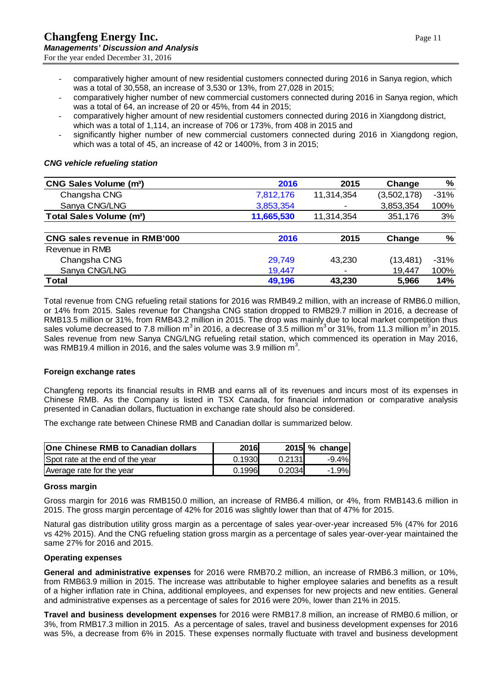- comparatively higher amount of new residential customers connected during 2016 in Sanya region, which was a total of 30,558, an increase of 3,530 or 13%, from 27,028 in 2015;
- comparatively higher number of new commercial customers connected during 2016 in Sanya region, which was a total of 64, an increase of 20 or 45%, from 44 in 2015;
- comparatively higher amount of new residential customers connected during 2016 in Xiangdong district, which was a total of 1,114, an increase of 706 or 173%, from 408 in 2015 and
- significantly higher number of new commercial customers connected during 2016 in Xiangdong region, which was a total of 45, an increase of 42 or 1400%, from 3 in 2015;

#### *CNG vehicle refueling station*

| CNG Sales Volume (m <sup>3</sup> )   | 2016       | 2015       | Change      | %      |
|--------------------------------------|------------|------------|-------------|--------|
| Changsha CNG                         | 7,812,176  | 11,314,354 | (3,502,178) | $-31%$ |
| Sanya CNG/LNG                        | 3,853,354  | ٠          | 3,853,354   | 100%   |
| Total Sales Volume (m <sup>3</sup> ) | 11,665,530 | 11,314,354 | 351,176     | 3%     |
|                                      |            |            |             |        |
| <b>CNG sales revenue in RMB'000</b>  | 2016       | 2015       | Change      | %      |
| Revenue in RMB                       |            |            |             |        |
| Changsha CNG                         | 29,749     | 43,230     | (13, 481)   | $-31%$ |
| Sanya CNG/LNG                        | 19,447     | ٠          | 19,447      | 100%   |
| Total                                | 49,196     | 43,230     | 5,966       | 14%    |

Total revenue from CNG refueling retail stations for 2016 was RMB49.2 million, with an increase of RMB6.0 million, or 14% from 2015. Sales revenue for Changsha CNG station dropped to RMB29.7 million in 2016, a decrease of RMB13.5 million or 31%, from RMB43.2 million in 2015. The drop was mainly due to local market competition thus sales volume decreased to 7.8 million  $m^3$  in 2016, a decrease of 3.5 million  $m^3$  or 31%, from 11.3 million  $m^3$  in 2015. Sales revenue from new Sanya CNG/LNG refueling retail station, which commenced its operation in May 2016, was RMB19.4 million in 2016, and the sales volume was 3.9 million  $m^3$ .

#### **Foreign exchange rates**

Changfeng reports its financial results in RMB and earns all of its revenues and incurs most of its expenses in Chinese RMB. As the Company is listed in TSX Canada, for financial information or comparative analysis presented in Canadian dollars, fluctuation in exchange rate should also be considered.

The exchange rate between Chinese RMB and Canadian dollar is summarized below.

| <b>One Chinese RMB to Canadian dollars</b> | 2016   |        | 2015 % change |
|--------------------------------------------|--------|--------|---------------|
| Spot rate at the end of the year           | 0.1930 | 0.2131 | $-9.4%$       |
| Average rate for the year                  | 0.1996 | 0.2034 | $-1.9%$       |

#### **Gross margin**

Gross margin for 2016 was RMB150.0 million, an increase of RMB6.4 million, or 4%, from RMB143.6 million in 2015. The gross margin percentage of 42% for 2016 was slightly lower than that of 47% for 2015.

Natural gas distribution utility gross margin as a percentage of sales year-over-year increased 5% (47% for 2016 vs 42% 2015). And the CNG refueling station gross margin as a percentage of sales year-over-year maintained the same 27% for 2016 and 2015.

#### **Operating expenses**

**General and administrative expenses** for 2016 were RMB70.2 million, an increase of RMB6.3 million, or 10%, from RMB63.9 million in 2015. The increase was attributable to higher employee salaries and benefits as a result of a higher inflation rate in China, additional employees, and expenses for new projects and new entities. General and administrative expenses as a percentage of sales for 2016 were 20%, lower than 21% in 2015.

**Travel and business development expenses** for 2016 were RMB17.8 million, an increase of RMB0.6 million, or 3%, from RMB17.3 million in 2015. As a percentage of sales, travel and business development expenses for 2016 was 5%, a decrease from 6% in 2015. These expenses normally fluctuate with travel and business development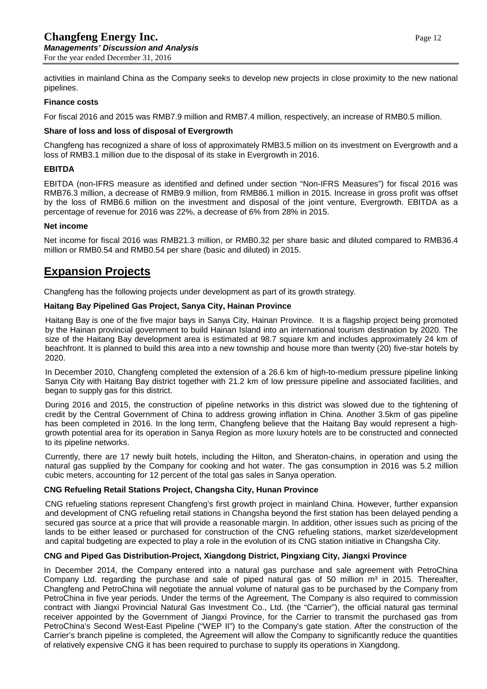activities in mainland China as the Company seeks to develop new projects in close proximity to the new national pipelines.

#### **Finance costs**

For fiscal 2016 and 2015 was RMB7.9 million and RMB7.4 million, respectively, an increase of RMB0.5 million.

#### **Share of loss and loss of disposal of Evergrowth**

Changfeng has recognized a share of loss of approximately RMB3.5 million on its investment on Evergrowth and a loss of RMB3.1 million due to the disposal of its stake in Evergrowth in 2016.

#### **EBITDA**

EBITDA (non-IFRS measure as identified and defined under section "Non-IFRS Measures") for fiscal 2016 was RMB76.3 million, a decrease of RMB9.9 million, from RMB86.1 million in 2015. Increase in gross profit was offset by the loss of RMB6.6 million on the investment and disposal of the joint venture, Evergrowth. EBITDA as a percentage of revenue for 2016 was 22%, a decrease of 6% from 28% in 2015.

#### **Net income**

Net income for fiscal 2016 was RMB21.3 million, or RMB0.32 per share basic and diluted compared to RMB36.4 million or RMB0.54 and RMB0.54 per share (basic and diluted) in 2015.

## **Expansion Projects**

Changfeng has the following projects under development as part of its growth strategy.

#### **Haitang Bay Pipelined Gas Project, Sanya City, Hainan Province**

Haitang Bay is one of the five major bays in [Sanya](http://en.wikipedia.org/wiki/Sanya) City, [Hainan](http://en.wikipedia.org/wiki/Hainan) Province. It is a flagship project being promoted by the Hainan provincial government to build Hainan Island into an international tourism destination by 2020. The size of the Haitang Bay development area is estimated at 98.7 square km and includes approximately 24 km of beachfront. It is planned to build this area into a new township and house more than twenty (20) five-star hotels by 2020.

In December 2010, Changfeng completed the extension of a 26.6 km of high-to-medium pressure pipeline linking Sanya City with Haitang Bay district together with 21.2 km of low pressure pipeline and associated facilities, and began to supply gas for this district.

During 2016 and 2015, the construction of pipeline networks in this district was slowed due to the tightening of credit by the Central Government of China to address growing inflation in China. Another 3.5km of gas pipeline has been completed in 2016. In the long term, Changfeng believe that the Haitang Bay would represent a highgrowth potential area for its operation in Sanya Region as more luxury hotels are to be constructed and connected to its pipeline networks.

Currently, there are 17 newly built hotels, including the Hilton, and Sheraton-chains, in operation and using the natural gas supplied by the Company for cooking and hot water. The gas consumption in 2016 was 5.2 million cubic meters, accounting for 12 percent of the total gas sales in Sanya operation.

### **CNG Refueling Retail Stations Project, Changsha City, Hunan Province**

CNG refueling stations represent Changfeng's first growth project in mainland China. However, further expansion and development of CNG refueling retail stations in Changsha beyond the first station has been delayed pending a secured gas source at a price that will provide a reasonable margin. In addition, other issues such as pricing of the lands to be either leased or purchased for construction of the CNG refueling stations, market size/development and capital budgeting are expected to play a role in the evolution of its CNG station initiative in Changsha City.

### **CNG and Piped Gas Distribution-Project, Xiangdong District, Pingxiang City, Jiangxi Province**

In December 2014, the Company entered into a natural gas purchase and sale agreement with PetroChina Company Ltd. regarding the purchase and sale of piped natural gas of 50 million  $m<sup>3</sup>$  in 2015. Thereafter, Changfeng and PetroChina will negotiate the annual volume of natural gas to be purchased by the Company from PetroChina in five year periods. Under the terms of the Agreement, The Company is also required to commission contract with Jiangxi Provincial Natural Gas Investment Co., Ltd. (the "Carrier"), the official natural gas terminal receiver appointed by the Government of Jiangxi Province, for the Carrier to transmit the purchased gas from PetroChina's Second West-East Pipeline ("WEP II") to the Company's gate station. After the construction of the Carrier's branch pipeline is completed, the Agreement will allow the Company to significantly reduce the quantities of relatively expensive CNG it has been required to purchase to supply its operations in Xiangdong.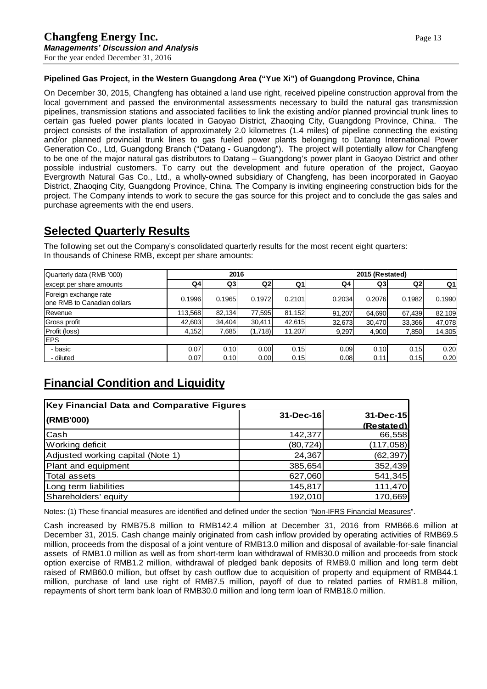### **Pipelined Gas Project, in the Western Guangdong Area ("Yue Xi") of Guangdong Province, China**

On December 30, 2015, Changfeng has obtained a land use right, received pipeline construction approval from the local government and passed the environmental assessments necessary to build the natural gas transmission pipelines, transmission stations and associated facilities to link the existing and/or planned provincial trunk lines to certain gas fueled power plants located in Gaoyao District, Zhaoqing City, Guangdong Province, China. The project consists of the installation of approximately 2.0 kilometres (1.4 miles) of pipeline connecting the existing and/or planned provincial trunk lines to gas fueled power plants belonging to Datang International Power Generation Co., Ltd, Guangdong Branch ("Datang - Guangdong"). The project will potentially allow for Changfeng to be one of the major natural gas distributors to Datang – Guangdong's power plant in Gaoyao District and other possible industrial customers. To carry out the development and future operation of the project, Gaoyao Evergrowth Natural Gas Co., Ltd., a wholly-owned subsidiary of Changfeng, has been incorporated in Gaoyao District, Zhaoqing City, Guangdong Province, China. The Company is inviting engineering construction bids for the project. The Company intends to work to secure the gas source for this project and to conclude the gas sales and purchase agreements with the end users.

## **Selected Quarterly Results**

The following set out the Company's consolidated quarterly results for the most recent eight quarters: In thousands of Chinese RMB, except per share amounts:

| Quarterly data (RMB '000)                             | 2016    |        |         | 2015 (Restated) |        |        |        |        |
|-------------------------------------------------------|---------|--------|---------|-----------------|--------|--------|--------|--------|
| except per share amounts                              | Q4      | Q3     | Q2      | Q1              | Q4     | Q3     | Q2     | Q1     |
| Foreign exchange rate<br>Ione RMB to Canadian dollars | 0.1996  | 0.1965 | 0.1972  | 0.2101          | 0.2034 | 0.2076 | 0.1982 | 0.1990 |
| Revenue                                               | 113,568 | 82.134 | 77,595  | 81,152          | 91,207 | 64.690 | 67,439 | 82,109 |
| Gross profit                                          | 42,603  | 34.404 | 30,411  | 42,615          | 32,673 | 30.470 | 33,366 | 47,078 |
| Profit (loss)                                         | 4,152   | 7,685  | (1,718) | 11,207          | 9,297  | 4,900  | 7,850  | 14,305 |
| <b>IEPS</b>                                           |         |        |         |                 |        |        |        |        |
| - basic                                               | 0.07    | 0.10   | 0.00    | 0.15            | 0.09   | 0.10   | 0.15   | 0.20   |
| - diluted                                             | 0.07    | 0.10   | 0.00    | 0.15            | 0.08   | 0.11   | 0.15   | 0.20   |

# **Financial Condition and Liquidity**

| <b>Key Financial Data and Comparative Figures</b> |           |            |
|---------------------------------------------------|-----------|------------|
| (RMB'000)                                         | 31-Dec-16 | 31-Dec-15  |
|                                                   |           | (Restated) |
| Cash                                              | 142,377   | 66,558     |
| <b>Working deficit</b>                            | (80, 724) | (117,058)  |
| Adjusted working capital (Note 1)                 | 24,367    | (62, 397)  |
| Plant and equipment                               | 385,654   | 352,439    |
| <b>Total assets</b>                               | 627,060   | 541,345    |
| Long term liabilities                             | 145,817   | 111,470    |
| Shareholders' equity                              | 192,010   | 170,669    |

Notes: (1) These financial measures are identified and defined under the section "Non-IFRS Financial Measures".

Cash increased by RMB75.8 million to RMB142.4 million at December 31, 2016 from RMB66.6 million at December 31, 2015. Cash change mainly originated from cash inflow provided by operating activities of RMB69.5 million, proceeds from the disposal of a joint venture of RMB13.0 million and disposal of available-for-sale financial assets of RMB1.0 million as well as from short-term loan withdrawal of RMB30.0 million and proceeds from stock option exercise of RMB1.2 million, withdrawal of pledged bank deposits of RMB9.0 million and long term debt raised of RMB60.0 million, but offset by cash outflow due to acquisition of property and equipment of RMB44.1 million, purchase of land use right of RMB7.5 million, payoff of due to related parties of RMB1.8 million, repayments of short term bank loan of RMB30.0 million and long term loan of RMB18.0 million.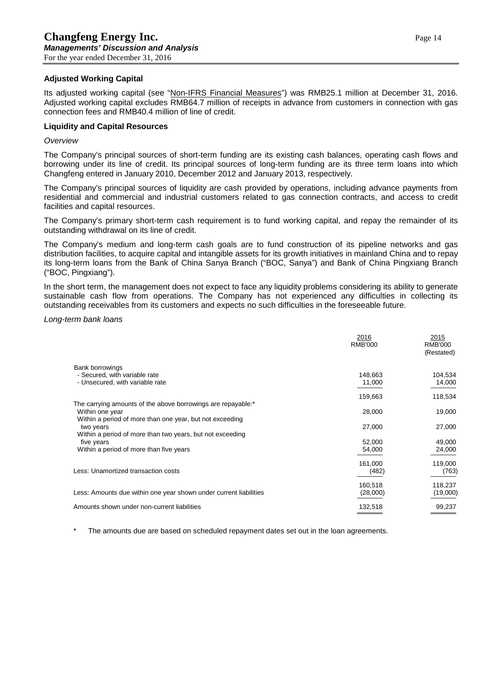#### **Adjusted Working Capital**

Its adjusted working capital (see "Non-IFRS Financial Measures") was RMB25.1 million at December 31, 2016. Adjusted working capital excludes RMB64.7 million of receipts in advance from customers in connection with gas connection fees and RMB40.4 million of line of credit.

#### **Liquidity and Capital Resources**

#### *Overview*

The Company's principal sources of short-term funding are its existing cash balances, operating cash flows and borrowing under its line of credit. Its principal sources of long-term funding are its three term loans into which Changfeng entered in January 2010, December 2012 and January 2013, respectively.

The Company's principal sources of liquidity are cash provided by operations, including advance payments from residential and commercial and industrial customers related to gas connection contracts, and access to credit facilities and capital resources.

The Company's primary short-term cash requirement is to fund working capital, and repay the remainder of its outstanding withdrawal on its line of credit.

The Company's medium and long-term cash goals are to fund construction of its pipeline networks and gas distribution facilities, to acquire capital and intangible assets for its growth initiatives in mainland China and to repay its long-term loans from the Bank of China Sanya Branch ("BOC, Sanya") and Bank of China Pingxiang Branch ("BOC, Pingxiang").

In the short term, the management does not expect to face any liquidity problems considering its ability to generate sustainable cash flow from operations. The Company has not experienced any difficulties in collecting its outstanding receivables from its customers and expects no such difficulties in the foreseeable future.

#### *Long-term bank loans*

|                                                                   | 2016<br><b>RMB'000</b> | 2015<br>RMB'000<br>(Restated) |
|-------------------------------------------------------------------|------------------------|-------------------------------|
| <b>Bank borrowings</b>                                            |                        |                               |
| - Secured, with variable rate                                     | 148,663                | 104,534                       |
| - Unsecured, with variable rate                                   | 11,000                 | 14,000                        |
|                                                                   | 159,663                | 118,534                       |
| The carrying amounts of the above borrowings are repayable:*      |                        |                               |
| Within one year                                                   | 28,000                 | 19,000                        |
| Within a period of more than one year, but not exceeding          |                        |                               |
| two years                                                         | 27,000                 | 27,000                        |
| Within a period of more than two years, but not exceeding         |                        |                               |
| five years                                                        | 52,000                 | 49,000                        |
| Within a period of more than five years                           | 54,000                 | 24,000                        |
|                                                                   | 161,000                | 119,000                       |
| Less: Unamortized transaction costs                               | (482)                  | (763)                         |
|                                                                   | 160,518                | 118,237                       |
| Less: Amounts due within one year shown under current liabilities | (28,000)               | (19,000)                      |
| Amounts shown under non-current liabilities                       | 132,518                | 99,237                        |
|                                                                   |                        |                               |

The amounts due are based on scheduled repayment dates set out in the loan agreements.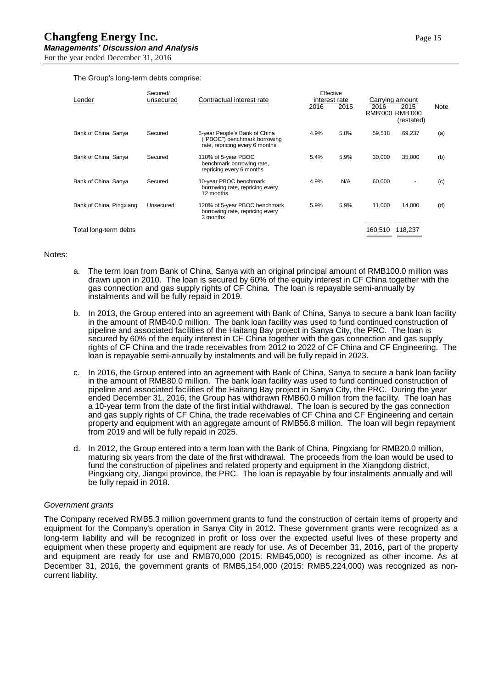The Group's long-term debts comprise:

| Lender                   | Secured/<br>unsecured | Contractual interest rate                                                                      | Effective<br>interest rate<br>2016 | 2015 | 2016<br>RMB'000 | Carrying amount<br>2015<br><b>RMB'000</b><br>(restated) | Note |
|--------------------------|-----------------------|------------------------------------------------------------------------------------------------|------------------------------------|------|-----------------|---------------------------------------------------------|------|
| Bank of China, Sanya     | Secured               | 5-year People's Bank of China<br>"PBOC") benchmark borrowing<br>rate, repricing every 6 months | 4.9%                               | 5.8% | 59.518          | 69,237                                                  | (a)  |
| Bank of China, Sanya     | Secured               | 110% of 5-year PBOC<br>benchmark borrowing rate,<br>repricing every 6 months                   | 5.4%                               | 5.9% | 30.000          | 35,000                                                  | (b)  |
| Bank of China, Sanya     | Secured               | 10-year PBOC benchmark<br>borrowing rate, repricing every<br>12 months                         | 4.9%                               | N/A  | 60,000          |                                                         | (c)  |
| Bank of China, Pingxiang | Unsecured             | 120% of 5-year PBOC benchmark<br>borrowing rate, repricing every<br>3 months                   | 5.9%                               | 5.9% | 11.000          | 14,000                                                  | (d)  |
| Total long-term debts    |                       |                                                                                                |                                    |      | 160.510         | 118,237                                                 |      |

#### Notes:

- a. The term loan from Bank of China, Sanya with an original principal amount of RMB100.0 million was drawn upon in 2010. The loan is secured by 60% of the equity interest in CF China together with the gas connection and gas supply rights of CF China. The loan is repayable semi-annually by instalments and will be fully repaid in 2019.
- b. In 2013, the Group entered into an agreement with Bank of China, Sanya to secure a bank loan facility in the amount of RMB40.0 million. The bank loan facility was used to fund continued construction of pipeline and associated facilities of the Haitang Bay project in Sanya City, the PRC. The loan is secured by 60% of the equity interest in CF China together with the gas connection and gas supply rights of CF China and the trade receivables from 2012 to 2022 of CF China and CF Engineering. The loan is repayable semi-annually by instalments and will be fully repaid in 2023.
- c. In 2016, the Group entered into an agreement with Bank of China, Sanya to secure a bank loan facility in the amount of RMB80.0 million. The bank loan facility was used to fund continued construction of pipeline and associated facilities of the Haitang Bay project in Sanya City, the PRC. During the year ended December 31, 2016, the Group has withdrawn RMB60.0 million from the facility. The loan has a 10-year term from the date of the first initial withdrawal. The loan is secured by the gas connection and gas supply rights of CF China, the trade receivables of CF China and CF Engineering and certain property and equipment with an aggregate amount of RMB56.8 million. The loan will begin repayment from 2019 and will be fully repaid in 2025.
- d. In 2012, the Group entered into a term loan with the Bank of China, Pingxiang for RMB20.0 million, maturing six years from the date of the first withdrawal. The proceeds from the loan would be used to fund the construction of pipelines and related property and equipment in the Xiangdong district, Pingxiang city, Jiangxi province, the PRC. The loan is repayable by four instalments annually and will be fully repaid in 2018.

#### *Government grants*

The Company received RMB5.3 million government grants to fund the construction of certain items of property and equipment for the Company's operation in Sanya City in 2012. These government grants were recognized as a long-term liability and will be recognized in profit or loss over the expected useful lives of these property and equipment when these property and equipment are ready for use. As of December 31, 2016, part of the property and equipment are ready for use and RMB70,000 (2015: RMB45,000) is recognized as other income. As at December 31, 2016, the government grants of RMB5,154,000 (2015: RMB5,224,000) was recognized as noncurrent liability.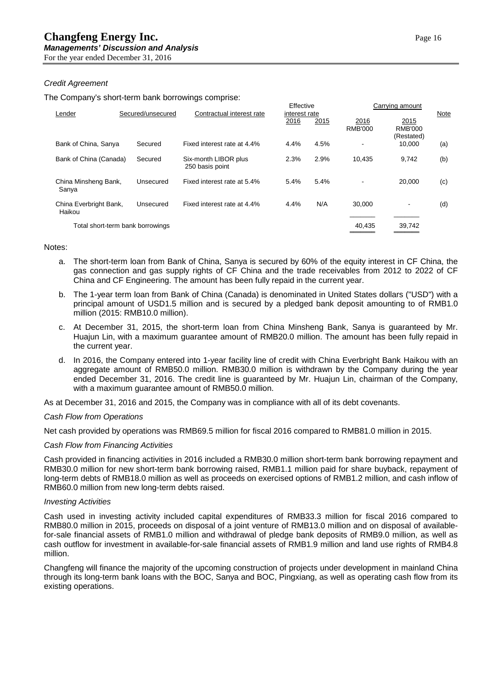#### *Credit Agreement*

The Company's short-term bank borrowings comprise:

| Lender                           | Secured/unsecured                | Contractual interest rate               | Effective<br>interest rate |      | Carrying amount |                               | Note |
|----------------------------------|----------------------------------|-----------------------------------------|----------------------------|------|-----------------|-------------------------------|------|
|                                  |                                  |                                         | 2016                       | 2015 | 2016<br>RMB'000 | 2015<br>RMB'000<br>(Restated) |      |
| Bank of China, Sanya             | Secured                          | Fixed interest rate at 4.4%             | 4.4%                       | 4.5% | $\blacksquare$  | 10.000                        | (a)  |
| Bank of China (Canada)           | Secured                          | Six-month LIBOR plus<br>250 basis point | 2.3%                       | 2.9% | 10.435          | 9.742                         | (b)  |
| China Minsheng Bank,<br>Sanya    | Unsecured                        | Fixed interest rate at 5.4%             | 5.4%                       | 5.4% |                 | 20.000                        | (c)  |
| China Everbright Bank,<br>Haikou | Unsecured                        | Fixed interest rate at 4.4%             | 4.4%                       | N/A  | 30.000          |                               | (d)  |
|                                  | Total short-term bank borrowings |                                         |                            |      | 40,435          | 39,742                        |      |

#### Notes:

- a. The short-term loan from Bank of China, Sanya is secured by 60% of the equity interest in CF China, the gas connection and gas supply rights of CF China and the trade receivables from 2012 to 2022 of CF China and CF Engineering. The amount has been fully repaid in the current year.
- b. The 1-year term loan from Bank of China (Canada) is denominated in United States dollars ("USD") with a principal amount of USD1.5 million and is secured by a pledged bank deposit amounting to of RMB1.0 million (2015: RMB10.0 million).
- c. At December 31, 2015, the short-term loan from China Minsheng Bank, Sanya is guaranteed by Mr. Huajun Lin, with a maximum guarantee amount of RMB20.0 million. The amount has been fully repaid in the current year.
- d. In 2016, the Company entered into 1-year facility line of credit with China Everbright Bank Haikou with an aggregate amount of RMB50.0 million. RMB30.0 million is withdrawn by the Company during the year ended December 31, 2016. The credit line is guaranteed by Mr. Huajun Lin, chairman of the Company, with a maximum guarantee amount of RMB50.0 million.

As at December 31, 2016 and 2015, the Company was in compliance with all of its debt covenants.

#### *Cash Flow from Operations*

Net cash provided by operations was RMB69.5 million for fiscal 2016 compared to RMB81.0 million in 2015.

#### *Cash Flow from Financing Activities*

Cash provided in financing activities in 2016 included a RMB30.0 million short-term bank borrowing repayment and RMB30.0 million for new short-term bank borrowing raised, RMB1.1 million paid for share buyback, repayment of long-term debts of RMB18.0 million as well as proceeds on exercised options of RMB1.2 million, and cash inflow of RMB60.0 million from new long-term debts raised.

#### *Investing Activities*

Cash used in investing activity included capital expenditures of RMB33.3 million for fiscal 2016 compared to RMB80.0 million in 2015, proceeds on disposal of a joint venture of RMB13.0 million and on disposal of availablefor-sale financial assets of RMB1.0 million and withdrawal of pledge bank deposits of RMB9.0 million, as well as cash outflow for investment in available-for-sale financial assets of RMB1.9 million and land use rights of RMB4.8 million.

Changfeng will finance the majority of the upcoming construction of projects under development in mainland China through its long-term bank loans with the BOC, Sanya and BOC, Pingxiang, as well as operating cash flow from its existing operations.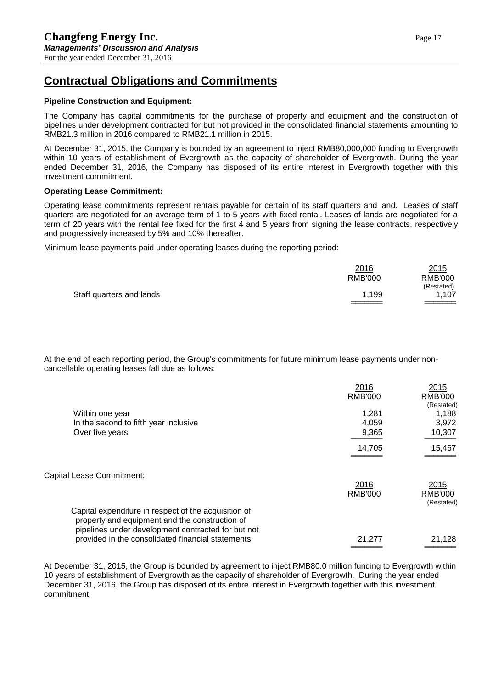# **Contractual Obligations and Commitments**

#### **Pipeline Construction and Equipment:**

The Company has capital commitments for the purchase of property and equipment and the construction of pipelines under development contracted for but not provided in the consolidated financial statements amounting to RMB21.3 million in 2016 compared to RMB21.1 million in 2015.

At December 31, 2015, the Company is bounded by an agreement to inject RMB80,000,000 funding to Evergrowth within 10 years of establishment of Evergrowth as the capacity of shareholder of Evergrowth. During the year ended December 31, 2016, the Company has disposed of its entire interest in Evergrowth together with this investment commitment.

#### **Operating Lease Commitment:**

Operating lease commitments represent rentals payable for certain of its staff quarters and land. Leases of staff quarters are negotiated for an average term of 1 to 5 years with fixed rental. Leases of lands are negotiated for a term of 20 years with the rental fee fixed for the first 4 and 5 years from signing the lease contracts, respectively and progressively increased by 5% and 10% thereafter.

Minimum lease payments paid under operating leases during the reporting period:

| 2016           | 2015       |
|----------------|------------|
| <b>RMB'000</b> | RMB'000    |
|                | (Restated) |
| 1.199          | 1,107      |
|                |            |

At the end of each reporting period, the Group's commitments for future minimum lease payments under noncancellable operating leases fall due as follows:

|                                                                                                                                                              | 2016           | 2015                         |
|--------------------------------------------------------------------------------------------------------------------------------------------------------------|----------------|------------------------------|
|                                                                                                                                                              | RMB'000        | <b>RMB'000</b>               |
|                                                                                                                                                              |                | (Restated)                   |
| Within one year                                                                                                                                              | 1,281          | 1,188                        |
| In the second to fifth year inclusive                                                                                                                        | 4,059          | 3,972                        |
| Over five years                                                                                                                                              | 9,365          | 10,307                       |
|                                                                                                                                                              | 14,705         | 15,467                       |
| Capital Lease Commitment:                                                                                                                                    |                |                              |
|                                                                                                                                                              | 2016           | 2015                         |
|                                                                                                                                                              | <b>RMB'000</b> | <b>RMB'000</b><br>(Restated) |
| Capital expenditure in respect of the acquisition of<br>property and equipment and the construction of<br>pipelines under development contracted for but not |                |                              |
| provided in the consolidated financial statements                                                                                                            | 21,277         | 21,128                       |
|                                                                                                                                                              |                |                              |

At December 31, 2015, the Group is bounded by agreement to inject RMB80.0 million funding to Evergrowth within 10 years of establishment of Evergrowth as the capacity of shareholder of Evergrowth. During the year ended December 31, 2016, the Group has disposed of its entire interest in Evergrowth together with this investment commitment.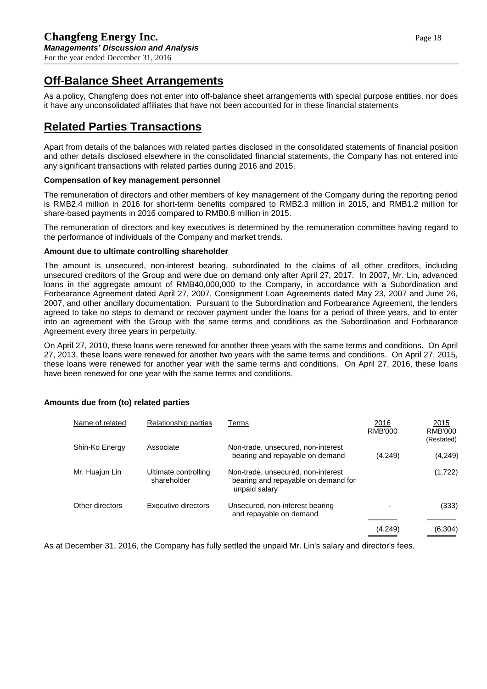# **Off-Balance Sheet Arrangements**

As a policy, Changfeng does not enter into off-balance sheet arrangements with special purpose entities, nor does it have any unconsolidated affiliates that have not been accounted for in these financial statements

# **Related Parties Transactions**

Apart from details of the balances with related parties disclosed in the consolidated statements of financial position and other details disclosed elsewhere in the consolidated financial statements, the Company has not entered into any significant transactions with related parties during 2016 and 2015.

### **Compensation of key management personnel**

The remuneration of directors and other members of key management of the Company during the reporting period is RMB2.4 million in 2016 for short-term benefits compared to RMB2.3 million in 2015, and RMB1.2 million for share-based payments in 2016 compared to RMB0.8 million in 2015.

The remuneration of directors and key executives is determined by the remuneration committee having regard to the performance of individuals of the Company and market trends.

#### **Amount due to ultimate controlling shareholder**

The amount is unsecured, non-interest bearing, subordinated to the claims of all other creditors, including unsecured creditors of the Group and were due on demand only after April 27, 2017. In 2007, Mr. Lin, advanced loans in the aggregate amount of RMB40,000,000 to the Company, in accordance with a Subordination and Forbearance Agreement dated April 27, 2007, Consignment Loan Agreements dated May 23, 2007 and June 26, 2007, and other ancillary documentation. Pursuant to the Subordination and Forbearance Agreement, the lenders agreed to take no steps to demand or recover payment under the loans for a period of three years, and to enter into an agreement with the Group with the same terms and conditions as the Subordination and Forbearance Agreement every three years in perpetuity.

On April 27, 2010, these loans were renewed for another three years with the same terms and conditions. On April 27, 2013, these loans were renewed for another two years with the same terms and conditions. On April 27, 2015, these loans were renewed for another year with the same terms and conditions. On April 27, 2016, these loans have been renewed for one year with the same terms and conditions.

| Name of related | Relationship parties                | Terms                                                                                      | 2016<br>RMB'000 | 2015<br>RMB'000<br>(Restated) |
|-----------------|-------------------------------------|--------------------------------------------------------------------------------------------|-----------------|-------------------------------|
| Shin-Ko Energy  | Associate                           | Non-trade, unsecured, non-interest<br>bearing and repayable on demand                      | (4,249)         | (4,249)                       |
| Mr. Huajun Lin  | Ultimate controlling<br>shareholder | Non-trade, unsecured, non-interest<br>bearing and repayable on demand for<br>unpaid salary |                 | (1,722)                       |
| Other directors | Executive directors                 | Unsecured, non-interest bearing<br>and repayable on demand                                 |                 | (333)                         |
|                 |                                     |                                                                                            | (4,249)         | (6, 304)                      |

### **Amounts due from (to) related parties**

As at December 31, 2016, the Company has fully settled the unpaid Mr. Lin's salary and director's fees.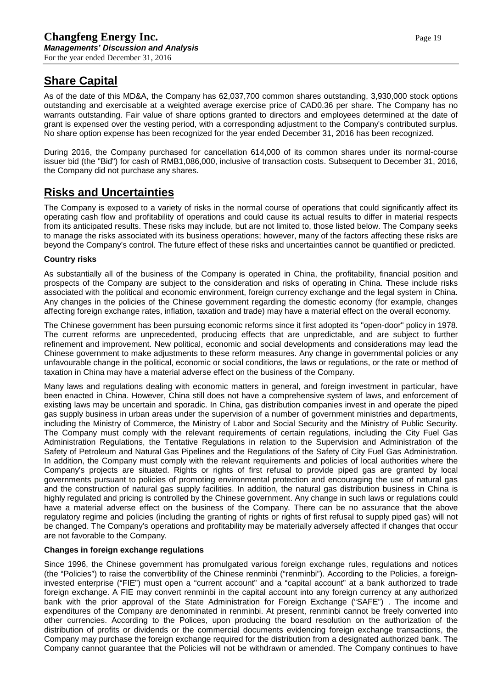# **Share Capital**

As of the date of this MD&A, the Company has 62,037,700 common shares outstanding, 3,930,000 stock options outstanding and exercisable at a weighted average exercise price of CAD0.36 per share. The Company has no warrants outstanding. Fair value of share options granted to directors and employees determined at the date of grant is expensed over the vesting period, with a corresponding adjustment to the Company's contributed surplus. No share option expense has been recognized for the year ended December 31, 2016 has been recognized.

During 2016, the Company purchased for cancellation 614,000 of its common shares under its normal-course issuer bid (the "Bid") for cash of RMB1,086,000, inclusive of transaction costs. Subsequent to December 31, 2016, the Company did not purchase any shares.

# **Risks and Uncertainties**

The Company is exposed to a variety of risks in the normal course of operations that could significantly affect its operating cash flow and profitability of operations and could cause its actual results to differ in material respects from its anticipated results. These risks may include, but are not limited to, those listed below. The Company seeks to manage the risks associated with its business operations; however, many of the factors affecting these risks are beyond the Company's control. The future effect of these risks and uncertainties cannot be quantified or predicted.

### **Country risks**

As substantially all of the business of the Company is operated in China, the profitability, financial position and prospects of the Company are subject to the consideration and risks of operating in China. These include risks associated with the political and economic environment, foreign currency exchange and the legal system in China. Any changes in the policies of the Chinese government regarding the domestic economy (for example, changes affecting foreign exchange rates, inflation, taxation and trade) may have a material effect on the overall economy.

The Chinese government has been pursuing economic reforms since it first adopted its "open-door" policy in 1978. The current reforms are unprecedented, producing effects that are unpredictable, and are subject to further refinement and improvement. New political, economic and social developments and considerations may lead the Chinese government to make adjustments to these reform measures. Any change in governmental policies or any unfavourable change in the political, economic or social conditions, the laws or regulations, or the rate or method of taxation in China may have a material adverse effect on the business of the Company.

Many laws and regulations dealing with economic matters in general, and foreign investment in particular, have been enacted in China. However, China still does not have a comprehensive system of laws, and enforcement of existing laws may be uncertain and sporadic. In China, gas distribution companies invest in and operate the piped gas supply business in urban areas under the supervision of a number of government ministries and departments, including the Ministry of Commerce, the Ministry of Labor and Social Security and the Ministry of Public Security. The Company must comply with the relevant requirements of certain regulations, including the City Fuel Gas Administration Regulations, the Tentative Regulations in relation to the Supervision and Administration of the Safety of Petroleum and Natural Gas Pipelines and the Regulations of the Safety of City Fuel Gas Administration. In addition, the Company must comply with the relevant requirements and policies of local authorities where the Company's projects are situated. Rights or rights of first refusal to provide piped gas are granted by local governments pursuant to policies of promoting environmental protection and encouraging the use of natural gas and the construction of natural gas supply facilities. In addition, the natural gas distribution business in China is highly regulated and pricing is controlled by the Chinese government. Any change in such laws or regulations could have a material adverse effect on the business of the Company. There can be no assurance that the above regulatory regime and policies (including the granting of rights or rights of first refusal to supply piped gas) will not be changed. The Company's operations and profitability may be materially adversely affected if changes that occur are not favorable to the Company.

### **Changes in foreign exchange regulations**

Since 1996, the Chinese government has promulgated various foreign exchange rules, regulations and notices (the "Policies") to raise the convertibility of the Chinese renminbi ("renminbi"). According to the Policies, a foreigninvested enterprise ("FIE") must open a "current account" and a "capital account" at a bank authorized to trade foreign exchange. A FIE may convert renminbi in the capital account into any foreign currency at any authorized bank with the prior approval of the State Administration for Foreign Exchange ("SAFE") . The income and expenditures of the Company are denominated in renminbi. At present, renminbi cannot be freely converted into other currencies. According to the Polices, upon producing the board resolution on the authorization of the distribution of profits or dividends or the commercial documents evidencing foreign exchange transactions, the Company may purchase the foreign exchange required for the distribution from a designated authorized bank. The Company cannot guarantee that the Policies will not be withdrawn or amended. The Company continues to have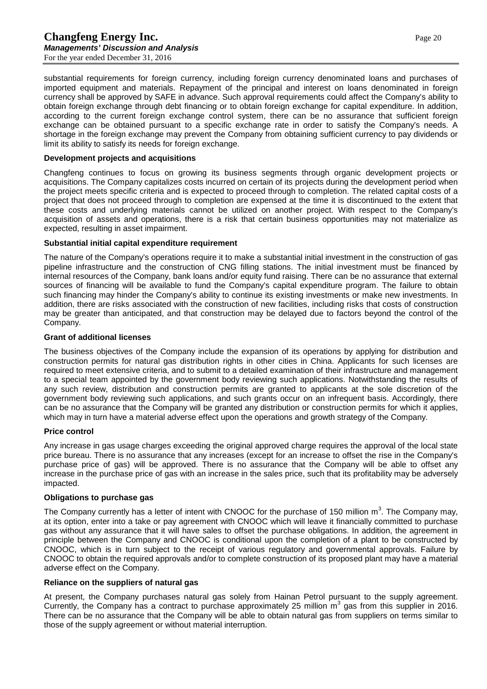substantial requirements for foreign currency, including foreign currency denominated loans and purchases of imported equipment and materials. Repayment of the principal and interest on loans denominated in foreign currency shall be approved by SAFE in advance. Such approval requirements could affect the Company's ability to obtain foreign exchange through debt financing or to obtain foreign exchange for capital expenditure. In addition, according to the current foreign exchange control system, there can be no assurance that sufficient foreign exchange can be obtained pursuant to a specific exchange rate in order to satisfy the Company's needs. A shortage in the foreign exchange may prevent the Company from obtaining sufficient currency to pay dividends or limit its ability to satisfy its needs for foreign exchange.

#### **Development projects and acquisitions**

Changfeng continues to focus on growing its business segments through organic development projects or acquisitions. The Company capitalizes costs incurred on certain of its projects during the development period when the project meets specific criteria and is expected to proceed through to completion. The related capital costs of a project that does not proceed through to completion are expensed at the time it is discontinued to the extent that these costs and underlying materials cannot be utilized on another project. With respect to the Company's acquisition of assets and operations, there is a risk that certain business opportunities may not materialize as expected, resulting in asset impairment.

#### **Substantial initial capital expenditure requirement**

The nature of the Company's operations require it to make a substantial initial investment in the construction of gas pipeline infrastructure and the construction of CNG filling stations. The initial investment must be financed by internal resources of the Company, bank loans and/or equity fund raising. There can be no assurance that external sources of financing will be available to fund the Company's capital expenditure program. The failure to obtain such financing may hinder the Company's ability to continue its existing investments or make new investments. In addition, there are risks associated with the construction of new facilities, including risks that costs of construction may be greater than anticipated, and that construction may be delayed due to factors beyond the control of the Company.

#### **Grant of additional licenses**

The business objectives of the Company include the expansion of its operations by applying for distribution and construction permits for natural gas distribution rights in other cities in China. Applicants for such licenses are required to meet extensive criteria, and to submit to a detailed examination of their infrastructure and management to a special team appointed by the government body reviewing such applications. Notwithstanding the results of any such review, distribution and construction permits are granted to applicants at the sole discretion of the government body reviewing such applications, and such grants occur on an infrequent basis. Accordingly, there can be no assurance that the Company will be granted any distribution or construction permits for which it applies, which may in turn have a material adverse effect upon the operations and growth strategy of the Company.

#### **Price control**

Any increase in gas usage charges exceeding the original approved charge requires the approval of the local state price bureau. There is no assurance that any increases (except for an increase to offset the rise in the Company's purchase price of gas) will be approved. There is no assurance that the Company will be able to offset any increase in the purchase price of gas with an increase in the sales price, such that its profitability may be adversely impacted.

#### **Obligations to purchase gas**

The Company currently has a letter of intent with CNOOC for the purchase of 150 million  $m^3$ . The Company may, at its option, enter into a take or pay agreement with CNOOC which will leave it financially committed to purchase gas without any assurance that it will have sales to offset the purchase obligations. In addition, the agreement in principle between the Company and CNOOC is conditional upon the completion of a plant to be constructed by CNOOC, which is in turn subject to the receipt of various regulatory and governmental approvals. Failure by CNOOC to obtain the required approvals and/or to complete construction of its proposed plant may have a material adverse effect on the Company.

#### **Reliance on the suppliers of natural gas**

At present, the Company purchases natural gas solely from Hainan Petrol pursuant to the supply agreement. Currently, the Company has a contract to purchase approximately 25 million  $m<sup>3</sup>$  gas from this supplier in 2016. There can be no assurance that the Company will be able to obtain natural gas from suppliers on terms similar to those of the supply agreement or without material interruption.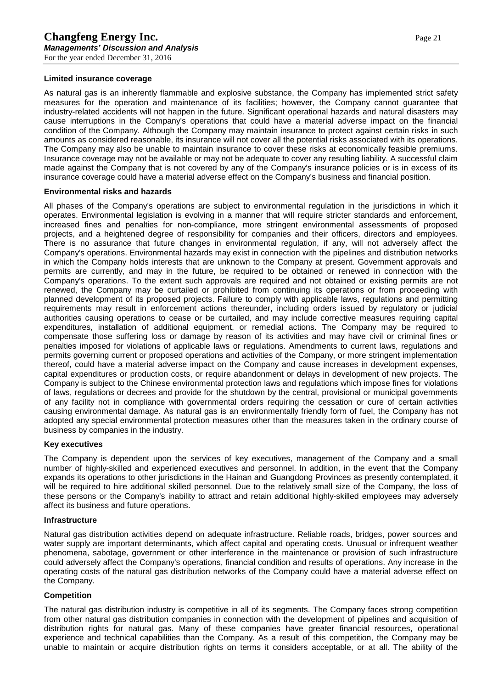#### **Limited insurance coverage**

As natural gas is an inherently flammable and explosive substance, the Company has implemented strict safety measures for the operation and maintenance of its facilities; however, the Company cannot guarantee that industry-related accidents will not happen in the future. Significant operational hazards and natural disasters may cause interruptions in the Company's operations that could have a material adverse impact on the financial condition of the Company. Although the Company may maintain insurance to protect against certain risks in such amounts as considered reasonable, its insurance will not cover all the potential risks associated with its operations. The Company may also be unable to maintain insurance to cover these risks at economically feasible premiums. Insurance coverage may not be available or may not be adequate to cover any resulting liability. A successful claim made against the Company that is not covered by any of the Company's insurance policies or is in excess of its insurance coverage could have a material adverse effect on the Company's business and financial position.

#### **Environmental risks and hazards**

All phases of the Company's operations are subject to environmental regulation in the jurisdictions in which it operates. Environmental legislation is evolving in a manner that will require stricter standards and enforcement, increased fines and penalties for non-compliance, more stringent environmental assessments of proposed projects, and a heightened degree of responsibility for companies and their officers, directors and employees. There is no assurance that future changes in environmental regulation, if any, will not adversely affect the Company's operations. Environmental hazards may exist in connection with the pipelines and distribution networks in which the Company holds interests that are unknown to the Company at present. Government approvals and permits are currently, and may in the future, be required to be obtained or renewed in connection with the Company's operations. To the extent such approvals are required and not obtained or existing permits are not renewed, the Company may be curtailed or prohibited from continuing its operations or from proceeding with planned development of its proposed projects. Failure to comply with applicable laws, regulations and permitting requirements may result in enforcement actions thereunder, including orders issued by regulatory or judicial authorities causing operations to cease or be curtailed, and may include corrective measures requiring capital expenditures, installation of additional equipment, or remedial actions. The Company may be required to compensate those suffering loss or damage by reason of its activities and may have civil or criminal fines or penalties imposed for violations of applicable laws or regulations. Amendments to current laws, regulations and permits governing current or proposed operations and activities of the Company, or more stringent implementation thereof, could have a material adverse impact on the Company and cause increases in development expenses, capital expenditures or production costs, or require abandonment or delays in development of new projects. The Company is subject to the Chinese environmental protection laws and regulations which impose fines for violations of laws, regulations or decrees and provide for the shutdown by the central, provisional or municipal governments of any facility not in compliance with governmental orders requiring the cessation or cure of certain activities causing environmental damage. As natural gas is an environmentally friendly form of fuel, the Company has not adopted any special environmental protection measures other than the measures taken in the ordinary course of business by companies in the industry.

#### **Key executives**

The Company is dependent upon the services of key executives, management of the Company and a small number of highly-skilled and experienced executives and personnel. In addition, in the event that the Company expands its operations to other jurisdictions in the Hainan and Guangdong Provinces as presently contemplated, it will be required to hire additional skilled personnel. Due to the relatively small size of the Company, the loss of these persons or the Company's inability to attract and retain additional highly-skilled employees may adversely affect its business and future operations.

#### **Infrastructure**

Natural gas distribution activities depend on adequate infrastructure. Reliable roads, bridges, power sources and water supply are important determinants, which affect capital and operating costs. Unusual or infrequent weather phenomena, sabotage, government or other interference in the maintenance or provision of such infrastructure could adversely affect the Company's operations, financial condition and results of operations. Any increase in the operating costs of the natural gas distribution networks of the Company could have a material adverse effect on the Company.

#### **Competition**

The natural gas distribution industry is competitive in all of its segments. The Company faces strong competition from other natural gas distribution companies in connection with the development of pipelines and acquisition of distribution rights for natural gas. Many of these companies have greater financial resources, operational experience and technical capabilities than the Company. As a result of this competition, the Company may be unable to maintain or acquire distribution rights on terms it considers acceptable, or at all. The ability of the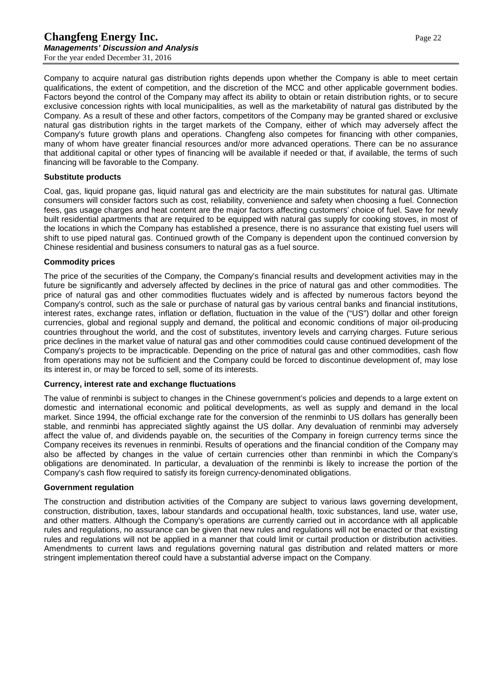Company to acquire natural gas distribution rights depends upon whether the Company is able to meet certain qualifications, the extent of competition, and the discretion of the MCC and other applicable government bodies. Factors beyond the control of the Company may affect its ability to obtain or retain distribution rights, or to secure exclusive concession rights with local municipalities, as well as the marketability of natural gas distributed by the Company. As a result of these and other factors, competitors of the Company may be granted shared or exclusive natural gas distribution rights in the target markets of the Company, either of which may adversely affect the Company's future growth plans and operations. Changfeng also competes for financing with other companies, many of whom have greater financial resources and/or more advanced operations. There can be no assurance that additional capital or other types of financing will be available if needed or that, if available, the terms of such financing will be favorable to the Company.

#### **Substitute products**

Coal, gas, liquid propane gas, liquid natural gas and electricity are the main substitutes for natural gas. Ultimate consumers will consider factors such as cost, reliability, convenience and safety when choosing a fuel. Connection fees, gas usage charges and heat content are the major factors affecting customers' choice of fuel. Save for newly built residential apartments that are required to be equipped with natural gas supply for cooking stoves, in most of the locations in which the Company has established a presence, there is no assurance that existing fuel users will shift to use piped natural gas. Continued growth of the Company is dependent upon the continued conversion by Chinese residential and business consumers to natural gas as a fuel source.

#### **Commodity prices**

The price of the securities of the Company, the Company's financial results and development activities may in the future be significantly and adversely affected by declines in the price of natural gas and other commodities. The price of natural gas and other commodities fluctuates widely and is affected by numerous factors beyond the Company's control, such as the sale or purchase of natural gas by various central banks and financial institutions, interest rates, exchange rates, inflation or deflation, fluctuation in the value of the ("US") dollar and other foreign currencies, global and regional supply and demand, the political and economic conditions of major oil-producing countries throughout the world, and the cost of substitutes, inventory levels and carrying charges. Future serious price declines in the market value of natural gas and other commodities could cause continued development of the Company's projects to be impracticable. Depending on the price of natural gas and other commodities, cash flow from operations may not be sufficient and the Company could be forced to discontinue development of, may lose its interest in, or may be forced to sell, some of its interests.

#### **Currency, interest rate and exchange fluctuations**

The value of renminbi is subject to changes in the Chinese government's policies and depends to a large extent on domestic and international economic and political developments, as well as supply and demand in the local market. Since 1994, the official exchange rate for the conversion of the renminbi to US dollars has generally been stable, and renminbi has appreciated slightly against the US dollar. Any devaluation of renminbi may adversely affect the value of, and dividends payable on, the securities of the Company in foreign currency terms since the Company receives its revenues in renminbi. Results of operations and the financial condition of the Company may also be affected by changes in the value of certain currencies other than renminbi in which the Company's obligations are denominated. In particular, a devaluation of the renminbi is likely to increase the portion of the Company's cash flow required to satisfy its foreign currency-denominated obligations.

#### **Government regulation**

The construction and distribution activities of the Company are subject to various laws governing development, construction, distribution, taxes, labour standards and occupational health, toxic substances, land use, water use, and other matters. Although the Company's operations are currently carried out in accordance with all applicable rules and regulations, no assurance can be given that new rules and regulations will not be enacted or that existing rules and regulations will not be applied in a manner that could limit or curtail production or distribution activities. Amendments to current laws and regulations governing natural gas distribution and related matters or more stringent implementation thereof could have a substantial adverse impact on the Company.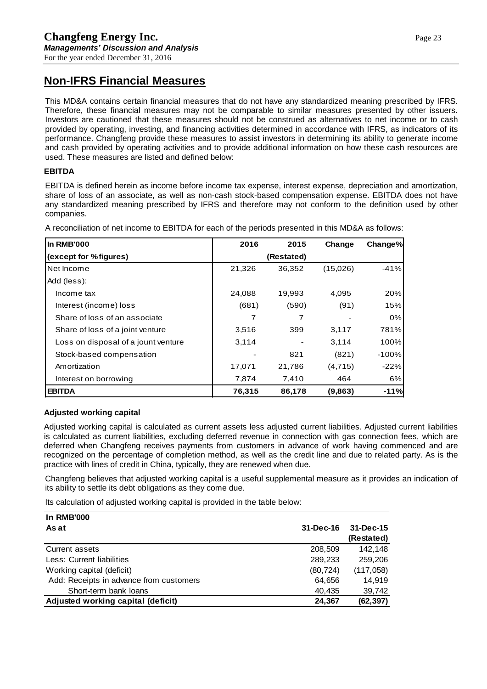# **Non-IFRS Financial Measures**

This MD&A contains certain financial measures that do not have any standardized meaning prescribed by IFRS. Therefore, these financial measures may not be comparable to similar measures presented by other issuers. Investors are cautioned that these measures should not be construed as alternatives to net income or to cash provided by operating, investing, and financing activities determined in accordance with IFRS, as indicators of its performance. Changfeng provide these measures to assist investors in determining its ability to generate income and cash provided by operating activities and to provide additional information on how these cash resources are used. These measures are listed and defined below:

### **EBITDA**

EBITDA is defined herein as income before income tax expense, interest expense, depreciation and amortization, share of loss of an associate, as well as non-cash stock-based compensation expense. EBITDA does not have any standardized meaning prescribed by IFRS and therefore may not conform to the definition used by other companies.

**In RMB'000 2016 2015 Change Change% (except for % figures) (Restated)** Net Income 21,326 36,352 (15,026) -41% Add (less): Income tax 24,088 19,993 4,095 20% Interest (income) loss (681) (590) (91) 15% Share of loss of an associate 7 7 - 0% Share of loss of a joint venture **1** 3,516 399 3,117 781% Loss on disposal of a jount venture  $\begin{array}{ccc} \vert & 3,114 & - & 3,114 & 100\% \end{array}$ Stock-based compensation  $\vert$  - 821 (821) -100% Amortization 17,071 21,786 (4,715) -22%

Interest on borrowing  $\overline{)$  7,874 7,410 464 6% **EBITDA 76,315 86,178 (9,863) -11%**

A reconciliation of net income to EBITDA for each of the periods presented in this MD&A as follows:

### **Adjusted working capital**

Adjusted working capital is calculated as current assets less adjusted current liabilities. Adjusted current liabilities is calculated as current liabilities, excluding deferred revenue in connection with gas connection fees, which are deferred when Changfeng receives payments from customers in advance of work having commenced and are recognized on the percentage of completion method, as well as the credit line and due to related party. As is the practice with lines of credit in China, typically, they are renewed when due.

Changfeng believes that adjusted working capital is a useful supplemental measure as it provides an indication of its ability to settle its debt obligations as they come due.

Its calculation of adjusted working capital is provided in the table below:

| <b>In RMB'000</b>                       |           |                 |
|-----------------------------------------|-----------|-----------------|
| As at                                   | 31-Dec-16 | $31 - Dec - 15$ |
|                                         |           | (Restated)      |
| Current assets                          | 208,509   | 142.148         |
| Less: Current liabilities               | 289,233   | 259,206         |
| Working capital (deficit)               | (80, 724) | (117,058)       |
| Add: Receipts in advance from customers | 64,656    | 14.919          |
| Short-term bank loans                   | 40,435    | 39,742          |
| Adjusted working capital (deficit)      | 24,367    | (62, 397)       |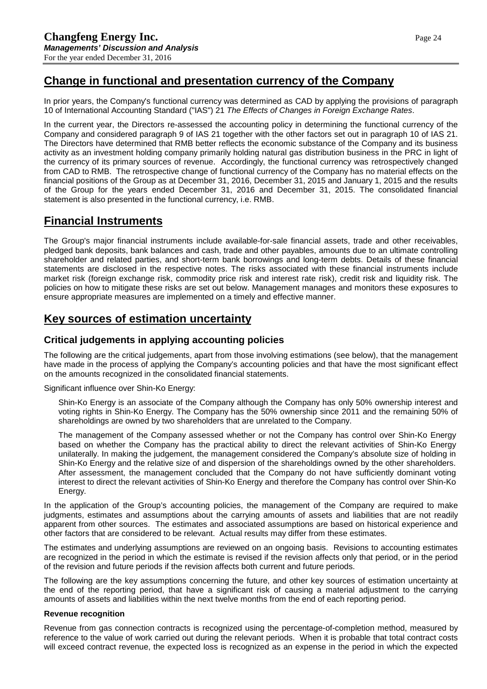# **Change in functional and presentation currency of the Company**

In prior years, the Company's functional currency was determined as CAD by applying the provisions of paragraph 10 of International Accounting Standard ("IAS") 21 *The Effects of Changes in Foreign Exchange Rates*.

In the current year, the Directors re-assessed the accounting policy in determining the functional currency of the Company and considered paragraph 9 of IAS 21 together with the other factors set out in paragraph 10 of IAS 21. The Directors have determined that RMB better reflects the economic substance of the Company and its business activity as an investment holding company primarily holding natural gas distribution business in the PRC in light of the currency of its primary sources of revenue. Accordingly, the functional currency was retrospectively changed from CAD to RMB. The retrospective change of functional currency of the Company has no material effects on the financial positions of the Group as at December 31, 2016, December 31, 2015 and January 1, 2015 and the results of the Group for the years ended December 31, 2016 and December 31, 2015. The consolidated financial statement is also presented in the functional currency, i.e. RMB.

## **Financial Instruments**

The Group's major financial instruments include available-for-sale financial assets, trade and other receivables, pledged bank deposits, bank balances and cash, trade and other payables, amounts due to an ultimate controlling shareholder and related parties, and short-term bank borrowings and long-term debts. Details of these financial statements are disclosed in the respective notes. The risks associated with these financial instruments include market risk (foreign exchange risk, commodity price risk and interest rate risk), credit risk and liquidity risk. The policies on how to mitigate these risks are set out below. Management manages and monitors these exposures to ensure appropriate measures are implemented on a timely and effective manner.

# **Key sources of estimation uncertainty**

### **Critical judgements in applying accounting policies**

The following are the critical judgements, apart from those involving estimations (see below), that the management have made in the process of applying the Company's accounting policies and that have the most significant effect on the amounts recognized in the consolidated financial statements.

Significant influence over Shin-Ko Energy:

Shin-Ko Energy is an associate of the Company although the Company has only 50% ownership interest and voting rights in Shin-Ko Energy. The Company has the 50% ownership since 2011 and the remaining 50% of shareholdings are owned by two shareholders that are unrelated to the Company.

The management of the Company assessed whether or not the Company has control over Shin-Ko Energy based on whether the Company has the practical ability to direct the relevant activities of Shin-Ko Energy unilaterally. In making the judgement, the management considered the Company's absolute size of holding in Shin-Ko Energy and the relative size of and dispersion of the shareholdings owned by the other shareholders. After assessment, the management concluded that the Company do not have sufficiently dominant voting interest to direct the relevant activities of Shin-Ko Energy and therefore the Company has control over Shin-Ko Energy.

In the application of the Group's accounting policies, the management of the Company are required to make judgments, estimates and assumptions about the carrying amounts of assets and liabilities that are not readily apparent from other sources. The estimates and associated assumptions are based on historical experience and other factors that are considered to be relevant. Actual results may differ from these estimates.

The estimates and underlying assumptions are reviewed on an ongoing basis. Revisions to accounting estimates are recognized in the period in which the estimate is revised if the revision affects only that period, or in the period of the revision and future periods if the revision affects both current and future periods.

The following are the key assumptions concerning the future, and other key sources of estimation uncertainty at the end of the reporting period, that have a significant risk of causing a material adjustment to the carrying amounts of assets and liabilities within the next twelve months from the end of each reporting period.

### **Revenue recognition**

Revenue from gas connection contracts is recognized using the percentage-of-completion method, measured by reference to the value of work carried out during the relevant periods. When it is probable that total contract costs will exceed contract revenue, the expected loss is recognized as an expense in the period in which the expected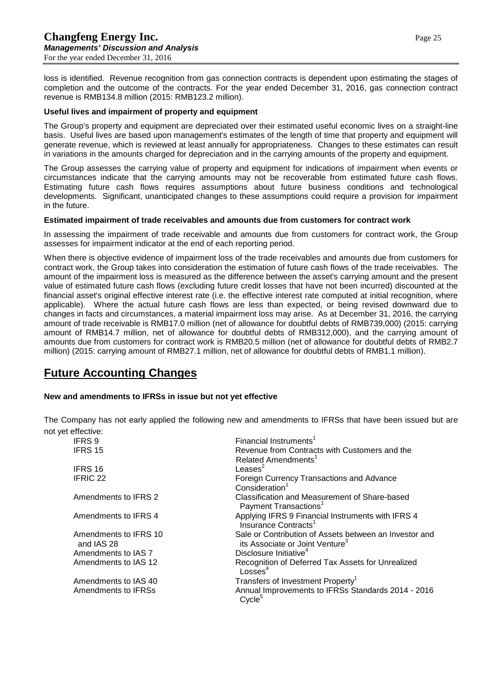loss is identified. Revenue recognition from gas connection contracts is dependent upon estimating the stages of completion and the outcome of the contracts. For the year ended December 31, 2016, gas connection contract revenue is RMB134.8 million (2015: RMB123.2 million).

### **Useful lives and impairment of property and equipment**

The Group's property and equipment are depreciated over their estimated useful economic lives on a straight-line basis. Useful lives are based upon management's estimates of the length of time that property and equipment will generate revenue, which is reviewed at least annually for appropriateness. Changes to these estimates can result in variations in the amounts charged for depreciation and in the carrying amounts of the property and equipment.

The Group assesses the carrying value of property and equipment for indications of impairment when events or circumstances indicate that the carrying amounts may not be recoverable from estimated future cash flows. Estimating future cash flows requires assumptions about future business conditions and technological developments. Significant, unanticipated changes to these assumptions could require a provision for impairment in the future.

### **Estimated impairment of trade receivables and amounts due from customers for contract work**

In assessing the impairment of trade receivable and amounts due from customers for contract work, the Group assesses for impairment indicator at the end of each reporting period.

When there is objective evidence of impairment loss of the trade receivables and amounts due from customers for contract work, the Group takes into consideration the estimation of future cash flows of the trade receivables. The amount of the impairment loss is measured as the difference between the asset's carrying amount and the present value of estimated future cash flows (excluding future credit losses that have not been incurred) discounted at the financial asset's original effective interest rate (i.e. the effective interest rate computed at initial recognition, where applicable). Where the actual future cash flows are less than expected, or being revised downward due to changes in facts and circumstances, a material impairment loss may arise. As at December 31, 2016, the carrying amount of trade receivable is RMB17.0 million (net of allowance for doubtful debts of RMB739,000) (2015: carrying amount of RMB14.7 million, net of allowance for doubtful debts of RMB312,000), and the carrying amount of amounts due from customers for contract work is RMB20.5 million (net of allowance for doubtful debts of RMB2.7 million) (2015: carrying amount of RMB27.1 million, net of allowance for doubtful debts of RMB1.1 million).

# **Future Accounting Changes**

### **New and amendments to IFRSs in issue but not yet effective**

The Company has not early applied the following new and amendments to IFRSs that have been issued but are not yet effective:

| Financial Instruments <sup>1</sup>                                                                    |
|-------------------------------------------------------------------------------------------------------|
| Revenue from Contracts with Customers and the<br>Related Amendments <sup>1</sup>                      |
| Leases $2$                                                                                            |
| Foreign Currency Transactions and Advance<br>Consideration <sup>1</sup>                               |
| Classification and Measurement of Share-based<br>Payment Transactions <sup>1</sup>                    |
| Applying IFRS 9 Financial Instruments with IFRS 4<br>Insurance Contracts <sup>1</sup>                 |
| Sale or Contribution of Assets between an Investor and<br>its Associate or Joint Venture <sup>3</sup> |
| Disclosure Initiative <sup>4</sup>                                                                    |
| Recognition of Deferred Tax Assets for Unrealized<br>Losses <sup>4</sup>                              |
| Transfers of Investment Property <sup>1</sup>                                                         |
| Annual Improvements to IFRSs Standards 2014 - 2016<br>Cycle <sup>5</sup>                              |
|                                                                                                       |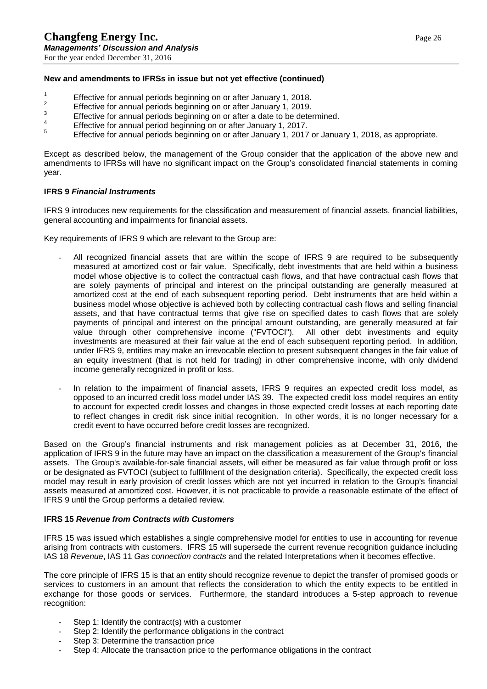#### **New and amendments to IFRSs in issue but not yet effective (continued)**

- 
- 
- 
- 
- <sup>1</sup><br>
Effective for annual periods beginning on or after January 1, 2018.<br>
<sup>2</sup><br>
Effective for annual periods beginning on or after January 1, 2019.<br>
<sup>3</sup><br>
Effective for annual periods beginning on or after January 1, 2017.<br>

Except as described below, the management of the Group consider that the application of the above new and amendments to IFRSs will have no significant impact on the Group's consolidated financial statements in coming year.

#### **IFRS 9** *Financial Instruments*

IFRS 9 introduces new requirements for the classification and measurement of financial assets, financial liabilities, general accounting and impairments for financial assets.

Key requirements of IFRS 9 which are relevant to the Group are:

- All recognized financial assets that are within the scope of IFRS 9 are required to be subsequently measured at amortized cost or fair value. Specifically, debt investments that are held within a business model whose objective is to collect the contractual cash flows, and that have contractual cash flows that are solely payments of principal and interest on the principal outstanding are generally measured at amortized cost at the end of each subsequent reporting period. Debt instruments that are held within a business model whose objective is achieved both by collecting contractual cash flows and selling financial assets, and that have contractual terms that give rise on specified dates to cash flows that are solely payments of principal and interest on the principal amount outstanding, are generally measured at fair<br>value through other comprehensive income ("FVTOCI"). All other debt investments and equity value through other comprehensive income ("FVTOCI"). investments are measured at their fair value at the end of each subsequent reporting period. In addition, under IFRS 9, entities may make an irrevocable election to present subsequent changes in the fair value of an equity investment (that is not held for trading) in other comprehensive income, with only dividend income generally recognized in profit or loss.
- In relation to the impairment of financial assets, IFRS 9 requires an expected credit loss model, as opposed to an incurred credit loss model under IAS 39. The expected credit loss model requires an entity to account for expected credit losses and changes in those expected credit losses at each reporting date to reflect changes in credit risk since initial recognition. In other words, it is no longer necessary for a credit event to have occurred before credit losses are recognized.

Based on the Group's financial instruments and risk management policies as at December 31, 2016, the application of IFRS 9 in the future may have an impact on the classification a measurement of the Group's financial assets. The Group's available-for-sale financial assets, will either be measured as fair value through profit or loss or be designated as FVTOCI (subject to fulfillment of the designation criteria). Specifically, the expected credit loss model may result in early provision of credit losses which are not yet incurred in relation to the Group's financial assets measured at amortized cost. However, it is not practicable to provide a reasonable estimate of the effect of IFRS 9 until the Group performs a detailed review.

#### **IFRS 15** *Revenue from Contracts with Customers*

IFRS 15 was issued which establishes a single comprehensive model for entities to use in accounting for revenue arising from contracts with customers. IFRS 15 will supersede the current revenue recognition guidance including IAS 18 *Revenue*, IAS 11 *Gas connection contracts* and the related Interpretations when it becomes effective.

The core principle of IFRS 15 is that an entity should recognize revenue to depict the transfer of promised goods or services to customers in an amount that reflects the consideration to which the entity expects to be entitled in exchange for those goods or services. Furthermore, the standard introduces a 5-step approach to revenue recognition:

- Step 1: Identify the contract(s) with a customer
- Step 2: Identify the performance obligations in the contract
- Step 3: Determine the transaction price
- Step 4: Allocate the transaction price to the performance obligations in the contract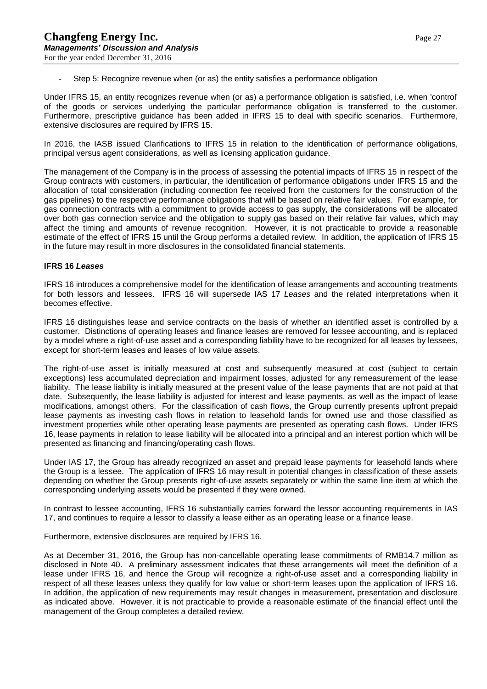Step 5: Recognize revenue when (or as) the entity satisfies a performance obligation

Under IFRS 15, an entity recognizes revenue when (or as) a performance obligation is satisfied, i.e. when 'control' of the goods or services underlying the particular performance obligation is transferred to the customer. Furthermore, prescriptive guidance has been added in IFRS 15 to deal with specific scenarios. Furthermore, extensive disclosures are required by IFRS 15.

In 2016, the IASB issued Clarifications to IFRS 15 in relation to the identification of performance obligations, principal versus agent considerations, as well as licensing application guidance.

The management of the Company is in the process of assessing the potential impacts of IFRS 15 in respect of the Group contracts with customers, in particular, the identification of performance obligations under IFRS 15 and the allocation of total consideration (including connection fee received from the customers for the construction of the gas pipelines) to the respective performance obligations that will be based on relative fair values. For example, for gas connection contracts with a commitment to provide access to gas supply, the considerations will be allocated over both gas connection service and the obligation to supply gas based on their relative fair values, which may affect the timing and amounts of revenue recognition. However, it is not practicable to provide a reasonable estimate of the effect of IFRS 15 until the Group performs a detailed review. In addition, the application of IFRS 15 in the future may result in more disclosures in the consolidated financial statements.

#### **IFRS 16** *Leases*

IFRS 16 introduces a comprehensive model for the identification of lease arrangements and accounting treatments for both lessors and lessees. IFRS 16 will supersede IAS 17 *Leases* and the related interpretations when it becomes effective.

IFRS 16 distinguishes lease and service contracts on the basis of whether an identified asset is controlled by a customer. Distinctions of operating leases and finance leases are removed for lessee accounting, and is replaced by a model where a right-of-use asset and a corresponding liability have to be recognized for all leases by lessees, except for short-term leases and leases of low value assets.

The right-of-use asset is initially measured at cost and subsequently measured at cost (subject to certain exceptions) less accumulated depreciation and impairment losses, adjusted for any remeasurement of the lease liability. The lease liability is initially measured at the present value of the lease payments that are not paid at that date. Subsequently, the lease liability is adjusted for interest and lease payments, as well as the impact of lease modifications, amongst others. For the classification of cash flows, the Group currently presents upfront prepaid lease payments as investing cash flows in relation to leasehold lands for owned use and those classified as investment properties while other operating lease payments are presented as operating cash flows. Under IFRS 16, lease payments in relation to lease liability will be allocated into a principal and an interest portion which will be presented as financing and financing/operating cash flows.

Under IAS 17, the Group has already recognized an asset and prepaid lease payments for leasehold lands where the Group is a lessee. The application of IFRS 16 may result in potential changes in classification of these assets depending on whether the Group presents right-of-use assets separately or within the same line item at which the corresponding underlying assets would be presented if they were owned.

In contrast to lessee accounting, IFRS 16 substantially carries forward the lessor accounting requirements in IAS 17, and continues to require a lessor to classify a lease either as an operating lease or a finance lease.

Furthermore, extensive disclosures are required by IFRS 16.

As at December 31, 2016, the Group has non-cancellable operating lease commitments of RMB14.7 million as disclosed in Note 40. A preliminary assessment indicates that these arrangements will meet the definition of a lease under IFRS 16, and hence the Group will recognize a right-of-use asset and a corresponding liability in respect of all these leases unless they qualify for low value or short-term leases upon the application of IFRS 16. In addition, the application of new requirements may result changes in measurement, presentation and disclosure as indicated above. However, it is not practicable to provide a reasonable estimate of the financial effect until the management of the Group completes a detailed review.